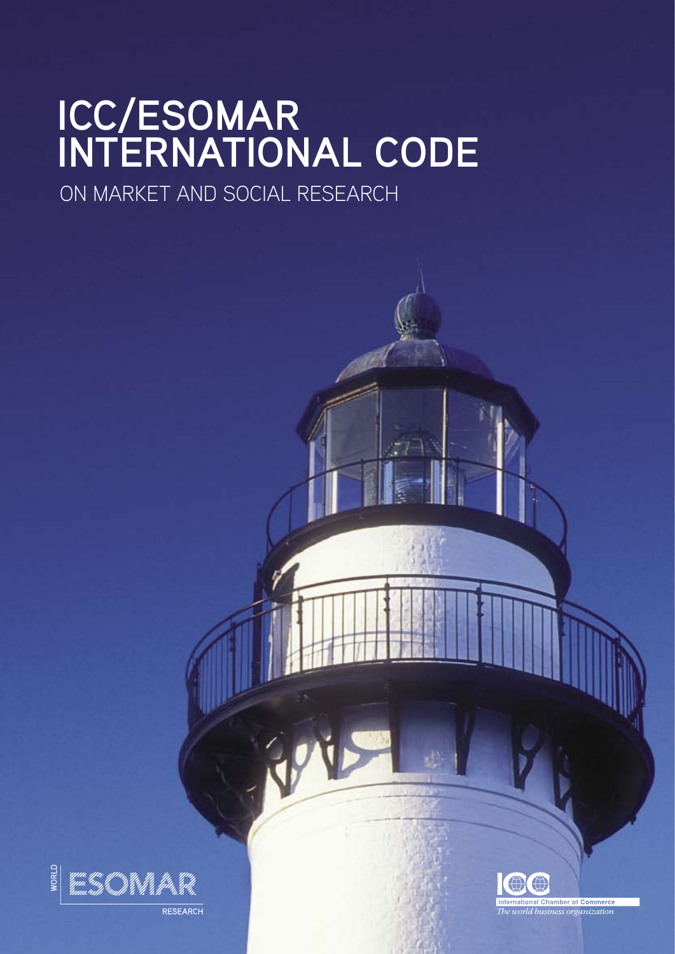# **ICC/ESOMAR INTERNATIONAL CODE**

ON MARKET AND SOCIAL RESEARCH



RESEARCH

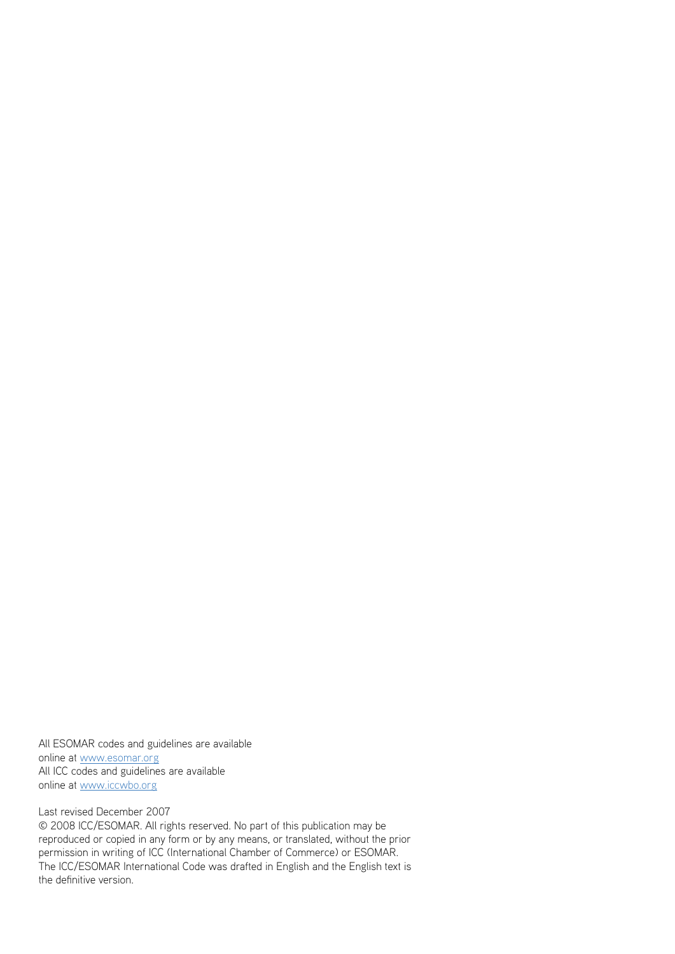All ESOMAR codes and guidelines are available online at www.esomar.org All ICC codes and guidelines are available online at www.iccwbo.org

## Last revised December 2007

© 2008 ICC/ESOMAR. All rights reserved. No part of this publication may be reproduced or copied in any form or by any means, or translated, without the prior permission in writing of ICC (International Chamber of Commerce) or ESOMAR. The ICC/ESOMAR International Code was drafted in English and the English text is the definitive version.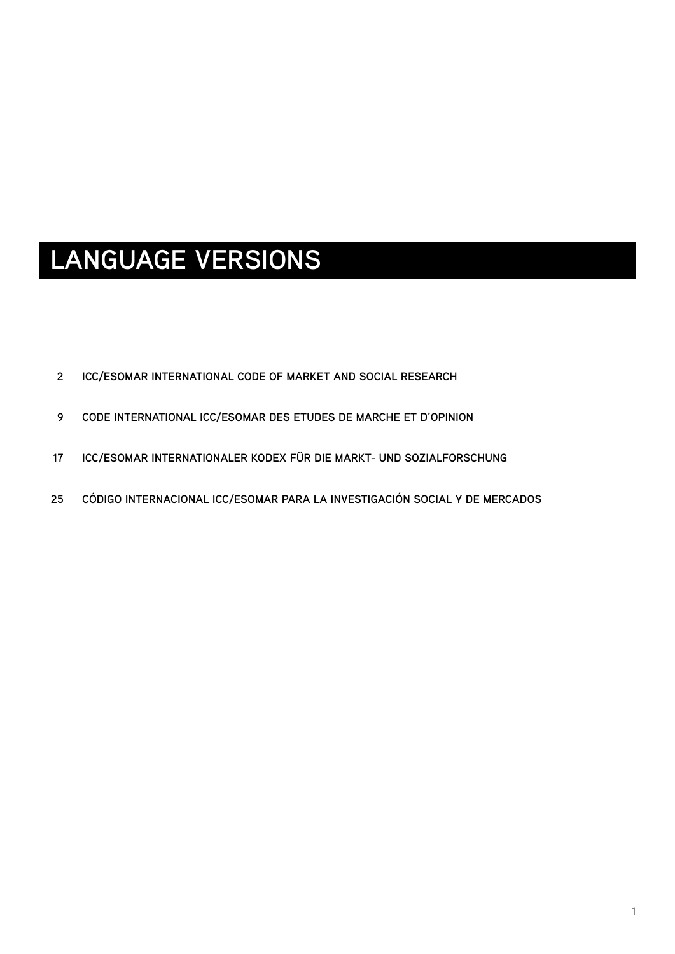## **LANGUAGE VERSIONS**

- **[ICC/ESOMAR INTERNATIONAL CODE OF MARKET AND SOCIAL RESEARCH](#page-3-0)  2**
- **[CODE INTERNATIONAL ICC/ESOMAR DES ETUDES DE MARCHE ET D'OPINION](#page-10-0) 9**
- **[ICC/ESOMAR INTERNATIONALER KODEX FÜR DIE MARKT- UND SOZIALFORSCHUNG](#page-18-0) 17**
- **[CÓDIGO INTERNACIONAL ICC/ESOMAR PARA LA INVESTIGACIÓN SOCIAL Y DE MERCADOS](#page-26-0) 25**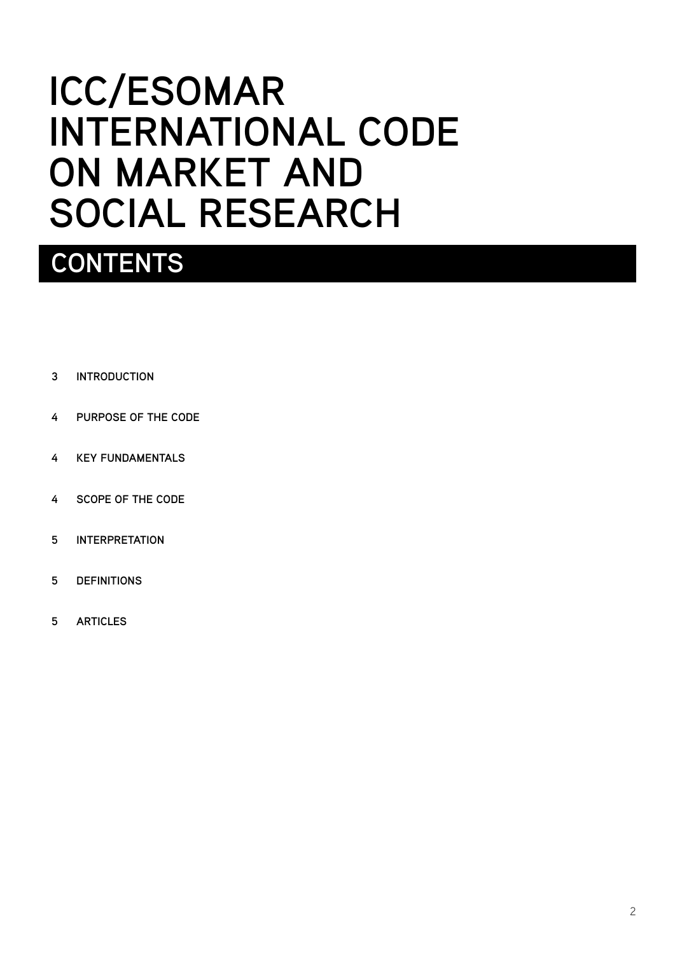# <span id="page-3-0"></span>**ICC/ESOMAR INTERNATIONAL CODE ON MARKET AND SOCIAL RESEARCH**

## **Contents**

- **[INTRODUCTION](#page-4-0)  3**
- **[PURPOSE OF THE CODE](#page-5-0) 4**
- **[KEY FUNDAMENTALS](#page-5-0) 4**
- **[SCOPE OF THE CODE](#page-5-0) 4**
- **[INTERPRETATION](#page-6-0) 5**
- **[DEFINITIONS](#page-6-0) 5**
- **[ARTICLES](#page-6-0) 5**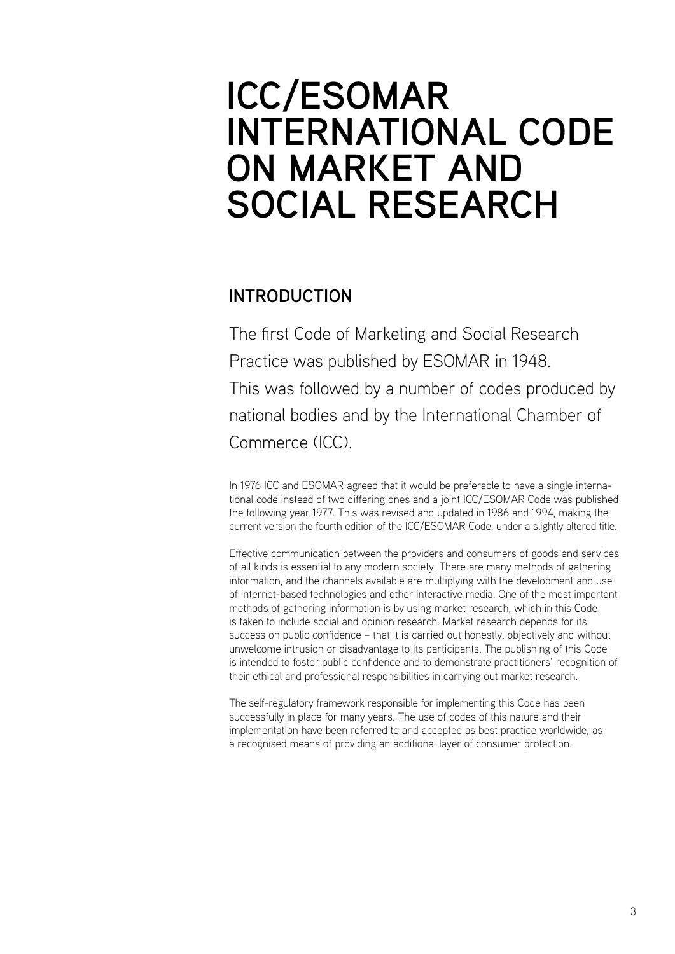## <span id="page-4-0"></span>**ICC/ESOMAR INTERNATIONAL CODE ON MARKET AND SOCIAL RESEARCH**

## **INTRODUCTION**

The first Code of Marketing and Social Research Practice was published by ESOMAR in 1948. This was followed by a number of codes produced by national bodies and by the International Chamber of Commerce (ICC).

In 1976 ICC and ESOMAR agreed that it would be preferable to have a single international code instead of two differing ones and a joint ICC/ESOMAR Code was published the following year 1977. This was revised and updated in 1986 and 1994, making the current version the fourth edition of the ICC/ESOMAR Code, under a slightly altered title.

Effective communication between the providers and consumers of goods and services of all kinds is essential to any modern society. There are many methods of gathering information, and the channels available are multiplying with the development and use of internet-based technologies and other interactive media. One of the most important methods of gathering information is by using market research, which in this Code is taken to include social and opinion research. Market research depends for its success on public confidence – that it is carried out honestly, objectively and without unwelcome intrusion or disadvantage to its participants. The publishing of this Code is intended to foster public confidence and to demonstrate practitioners' recognition of their ethical and professional responsibilities in carrying out market research.

The self-regulatory framework responsible for implementing this Code has been successfully in place for many years. The use of codes of this nature and their implementation have been referred to and accepted as best practice worldwide, as a recognised means of providing an additional layer of consumer protection.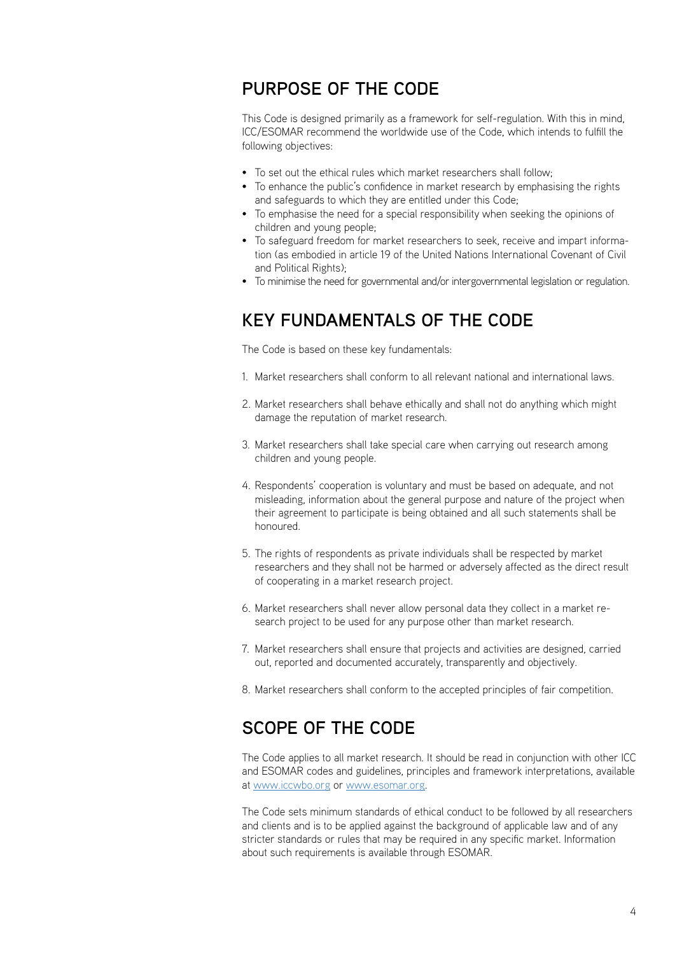## <span id="page-5-0"></span>**PURPOSE OF THE CODE**

This Code is designed primarily as a framework for self-regulation. With this in mind, ICC/ESOMAR recommend the worldwide use of the Code, which intends to fulfill the following objectives:

- To set out the ethical rules which market researchers shall follow;
- To enhance the public's confidence in market research by emphasising the rights and safeguards to which they are entitled under this Code;
- To emphasise the need for a special responsibility when seeking the opinions of children and young people;
- To safeguard freedom for market researchers to seek, receive and impart information (as embodied in article 19 of the United Nations International Covenant of Civil and Political Rights);
- To minimise the need for governmental and/or intergovernmental legislation or regulation.

## **KEY FUNDAMENTALS OF THE CODE**

The Code is based on these key fundamentals:

- Market researchers shall conform to all relevant national and international laws. 1.
- 2. Market researchers shall behave ethically and shall not do anything which might damage the reputation of market research.
- 3. Market researchers shall take special care when carrying out research among children and young people.
- 4. Respondents' cooperation is voluntary and must be based on adequate, and not misleading, information about the general purpose and nature of the project when their agreement to participate is being obtained and all such statements shall be honoured.
- 5. The rights of respondents as private individuals shall be respected by market researchers and they shall not be harmed or adversely affected as the direct result of cooperating in a market research project.
- Market researchers shall never allow personal data they collect in a market re-6. search project to be used for any purpose other than market research.
- 7. Market researchers shall ensure that projects and activities are designed, carried out, reported and documented accurately, transparently and objectively.
- 8. Market researchers shall conform to the accepted principles of fair competition.

## **SCOPE OF THE CODE**

The Code applies to all market research. It should be read in conjunction with other ICC and ESOMAR codes and guidelines, principles and framework interpretations, available at www.iccwbo.org or www.esomar.org.

The Code sets minimum standards of ethical conduct to be followed by all researchers and clients and is to be applied against the background of applicable law and of any stricter standards or rules that may be required in any specific market. Information about such requirements is available through ESOMAR.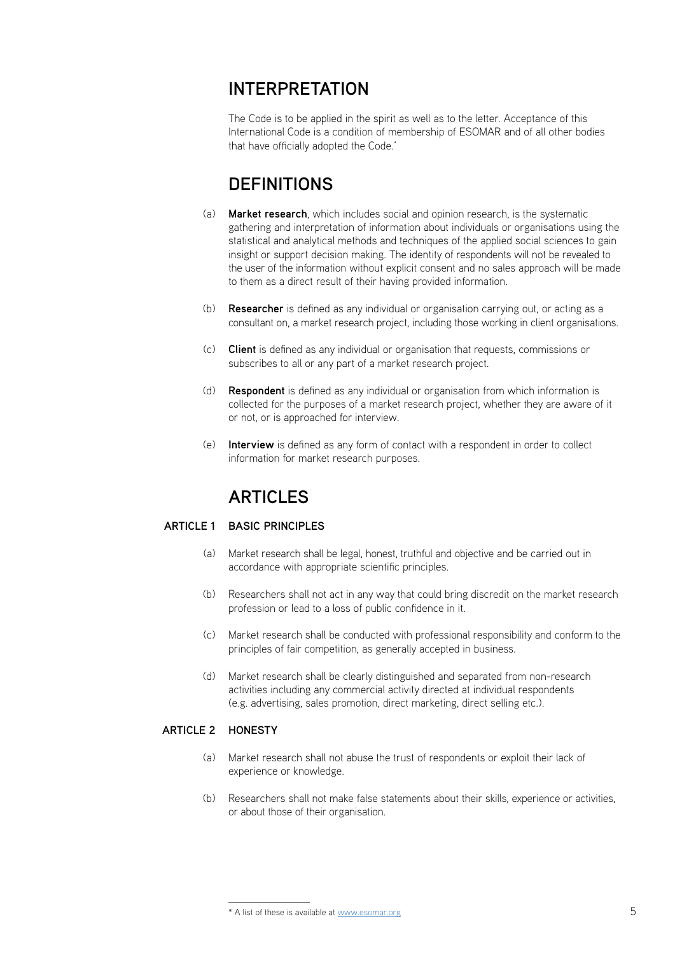## <span id="page-6-0"></span>**INTERPRETATION**

The Code is to be applied in the spirit as well as to the letter. Acceptance of this International Code is a condition of membership of ESOMAR and of all other bodies that have officially adopted the Code.<sup>\*</sup>

## **DEFINITIONS**

- **Market research**, which includes social and opinion research, is the systematic gathering and interpretation of information about individuals or organisations using the statistical and analytical methods and techniques of the applied social sciences to gain insight or support decision making. The identity of respondents will not be revealed to the user of the information without explicit consent and no sales approach will be made to them as a direct result of their having provided information. (a)
- **Researcher** is defined as any individual or organisation carrying out, or acting as a consultant on, a market research project, including those working in client organisations.  $(h)$
- **Client** is defined as any individual or organisation that requests, commissions or (c) subscribes to all or any part of a market research project.
- **Respondent** is defined as any individual or organisation from which information is collected for the purposes of a market research project, whether they are aware of it or not, or is approached for interview. (d)
- **Interview** is defined as any form of contact with a respondent in order to collect information for market research purposes.  $(a)$

## **ARTICLES**

## **BASIC PRINCIPLES ARTICLE 1**

- Market research shall be legal, honest, truthful and objective and be carried out in accordance with appropriate scientific principles.  $(a)$
- (b) Researchers shall not act in any way that could bring discredit on the market research profession or lead to a loss of public confidence in it.
- Market research shall be conducted with professional responsibility and conform to the principles of fair competition, as generally accepted in business.  $(\cap)$
- Market research shall be clearly distinguished and separated from non-research activities including any commercial activity directed at individual respondents (e.g. advertising, sales promotion, direct marketing, direct selling etc.).  $(h)$

## **ARTICLE 2 HON**

- Market research shall not abuse the trust of respondents or exploit their lack of experience or knowledge.  $(a)$
- (b) Researchers shall not make false statements about their skills, experience or activities, or about those of their organisation.

<sup>\*</sup> A list of these is available at www.esomar.org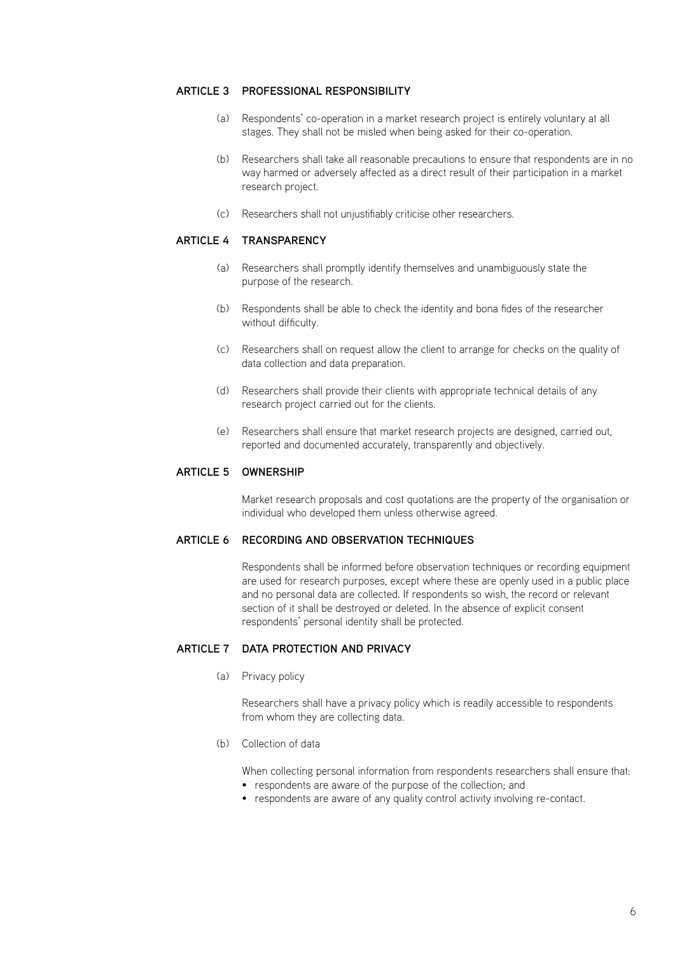#### **ARTICLE 3 PROFESSIONAL RE**

- Respondents' co-operation in a market research project is entirely voluntary at all (a) stages. They shall not be misled when being asked for their co-operation.
- Researchers shall take all reasonable precautions to ensure that respondents are in no (b) way harmed or adversely affected as a direct result of their participation in a market research project.
- Researchers shall not unjustifiably criticise other researchers. (c)

#### **ARTICLE 4 TRA**

- Researchers shall promptly identify themselves and unambiguously state the (a) purpose of the research.
- Respondents shall be able to check the identity and bona fides of the researcher (b) without difficulty.
- Researchers shall on request allow the client to arrange for checks on the quality of (c) data collection and data preparation.
- Researchers shall provide their clients with appropriate technical details of any (d) research project carried out for the clients.
- Researchers shall ensure that market research projects are designed, carried out, (e) reported and documented accurately, transparently and objectively.

#### **ARTICLE 5 OWN**

Market research proposals and cost quotations are the property of the organisation or individual who developed them unless otherwise agreed.

#### **Recording and observation techniques ARTICLE 6**

Respondents shall be informed before observation techniques or recording equipment are used for research purposes, except where these are openly used in a public place and no personal data are collected. If respondents so wish, the record or relevant section of it shall be destroyed or deleted. In the absence of explicit consent respondents' personal identity shall be protected.

#### **DATA PROTECTION AND PRACTLE 7**

(a) Privacy policy

Researchers shall have a privacy policy which is readily accessible to respondents from whom they are collecting data.

(b) Collection of data

When collecting personal information from respondents researchers shall ensure that:

- respondents are aware of the purpose of the collection; and
- respondents are aware of any quality control activity involving re-contact.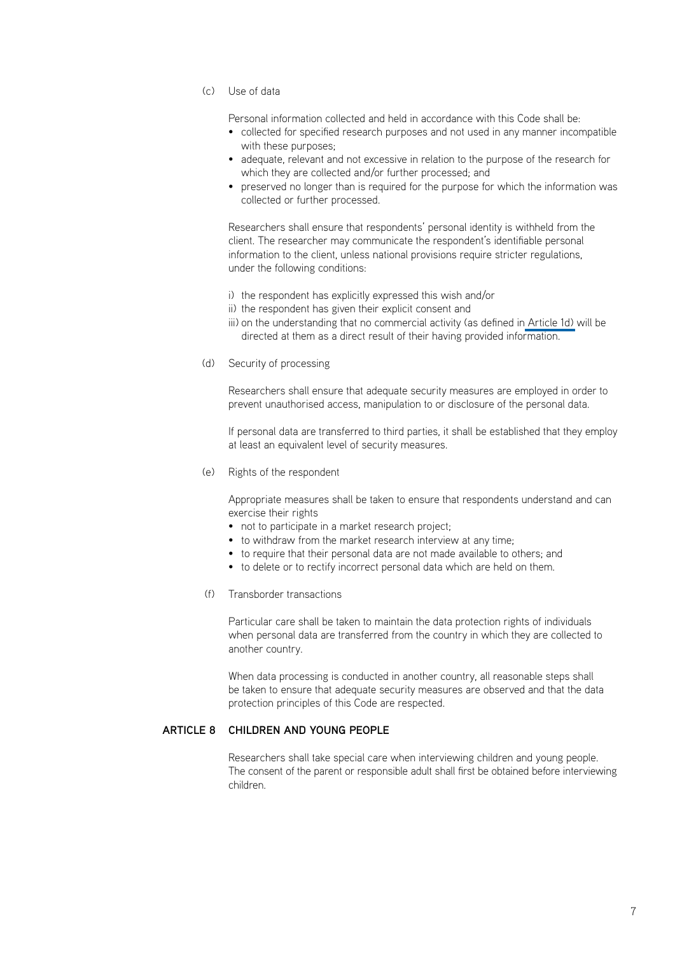Use of data (c)

Personal information collected and held in accordance with this Code shall be:

- collected for specified research purposes and not used in any manner incompatible with these purposes;
- adequate, relevant and not excessive in relation to the purpose of the research for which they are collected and/or further processed; and
- preserved no longer than is required for the purpose for which the information was collected or further processed.

Researchers shall ensure that respondents' personal identity is withheld from the client. The researcher may communicate the respondent's identifiable personal information to the client, unless national provisions require stricter regulations, under the following conditions:

- i) the respondent has explicitly expressed this wish and/or
- ii) the respondent has given their explicit consent and
- iii) on the understanding that no commercial activity (as defined i[n Article 1d\)](#page-6-0) will be directed at them as a direct result of their having provided information.
- (d) Security of processing

Researchers shall ensure that adequate security measures are employed in order to prevent unauthorised access, manipulation to or disclosure of the personal data.

If personal data are transferred to third parties, it shall be established that they employ at least an equivalent level of security measures.

Rights of the respondent (e)

Appropriate measures shall be taken to ensure that respondents understand and can exercise their rights

- not to participate in a market research project;
- to withdraw from the market research interview at any time:
- to require that their personal data are not made available to others; and
- to delete or to rectify incorrect personal data which are held on them.
- (f) Transborder transactions

Particular care shall be taken to maintain the data protection rights of individuals when personal data are transferred from the country in which they are collected to another country.

When data processing is conducted in another country, all reasonable steps shall be taken to ensure that adequate security measures are observed and that the data protection principles of this Code are respected.

### **ARTICLE 8 CHILDREN AND YOUNG F**

Researchers shall take special care when interviewing children and young people. The consent of the parent or responsible adult shall first be obtained before interviewing children.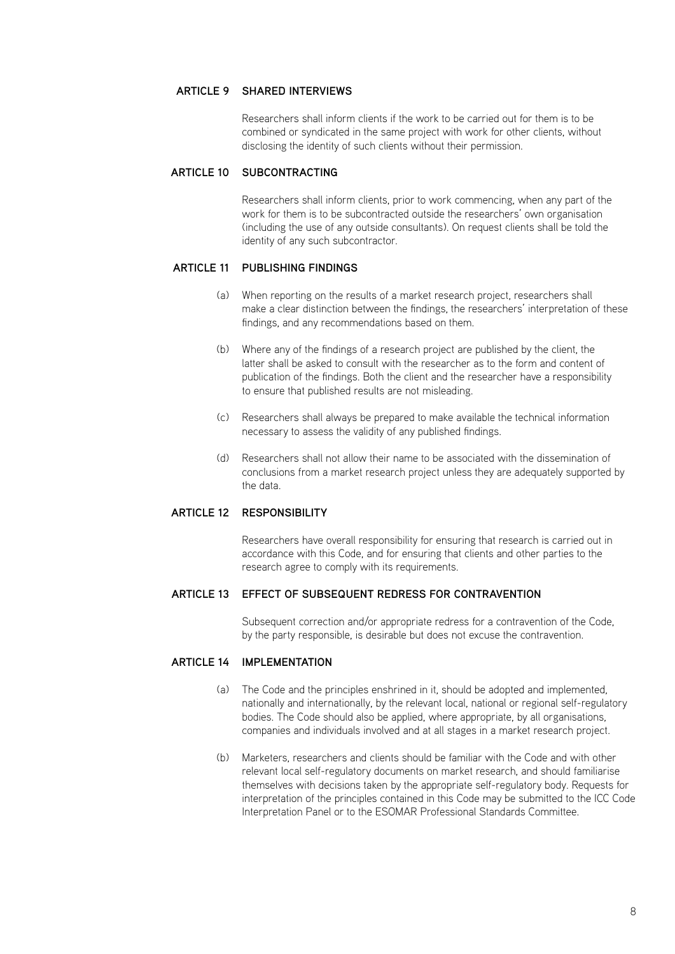#### **Shared interviews ARTICLE 9**

Researchers shall inform clients if the work to be carried out for them is to be combined or syndicated in the same project with work for other clients, without disclosing the identity of such clients without their permission.

#### **Subcontracting ARTICLE 10**

Researchers shall inform clients, prior to work commencing, when any part of the work for them is to be subcontracted outside the researchers' own organisation (including the use of any outside consultants). On request clients shall be told the identity of any such subcontractor.

#### **ARTICLE 11 PUBLISHING F**

- When reporting on the results of a market research project, researchers shall (a) make a clear distinction between the findings, the researchers' interpretation of these findings, and any recommendations based on them.
- Where any of the findings of a research project are published by the client, the (b) latter shall be asked to consult with the researcher as to the form and content of publication of the findings. Both the client and the researcher have a responsibility to ensure that published results are not misleading.
- Researchers shall always be prepared to make available the technical information (c) necessary to assess the validity of any published findings.
- Researchers shall not allow their name to be associated with the dissemination of (d) conclusions from a market research project unless they are adequately supported by the data.

#### **ARTICLE 12 RES**

Researchers have overall responsibility for ensuring that research is carried out in accordance with this Code, and for ensuring that clients and other parties to the research agree to comply with its requirements.

#### **Effect of subsequent redress for contravention ARTICLE 13**

Subsequent correction and/or appropriate redress for a contravention of the Code, by the party responsible, is desirable but does not excuse the contravention.

#### **IMPLEMENT ARTICLE 14 IM**

- The Code and the principles enshrined in it, should be adopted and implemented, (a) nationally and internationally, by the relevant local, national or regional self-regulatory bodies. The Code should also be applied, where appropriate, by all organisations, companies and individuals involved and at all stages in a market research project.
- (b) Marketers, researchers and clients should be familiar with the Code and with other relevant local self-regulatory documents on market research, and should familiarise themselves with decisions taken by the appropriate self-regulatory body. Requests for interpretation of the principles contained in this Code may be submitted to the ICC Code Interpretation Panel or to the ESOMAR Professional Standards Committee.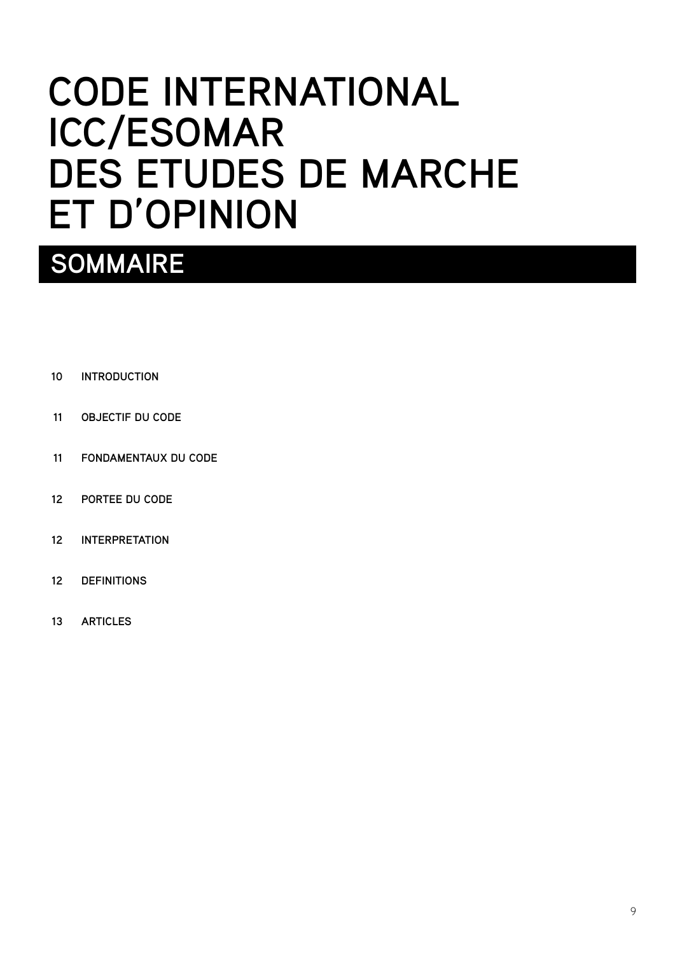# <span id="page-10-0"></span>**CODE INTERNATIONAL ICC/ESOMAR DES ETUDES DE MARCHE ET D'OPINION**

## **sommaire**

- **[INTRODUCTION](#page-11-0) 10**
- **[OBJECTIF DU CODE](#page-12-0) 11**
- **[FONDAMENTAUX DU CODE](#page-12-0) 11**
- **[PORTEE DU CODE](#page-13-0) 12**
- **[INTERPRETATION](#page-13-0) 12**
- **[DEFINITIONS](#page-13-0) 12**
- **[ARTICLES](#page-14-0) 13**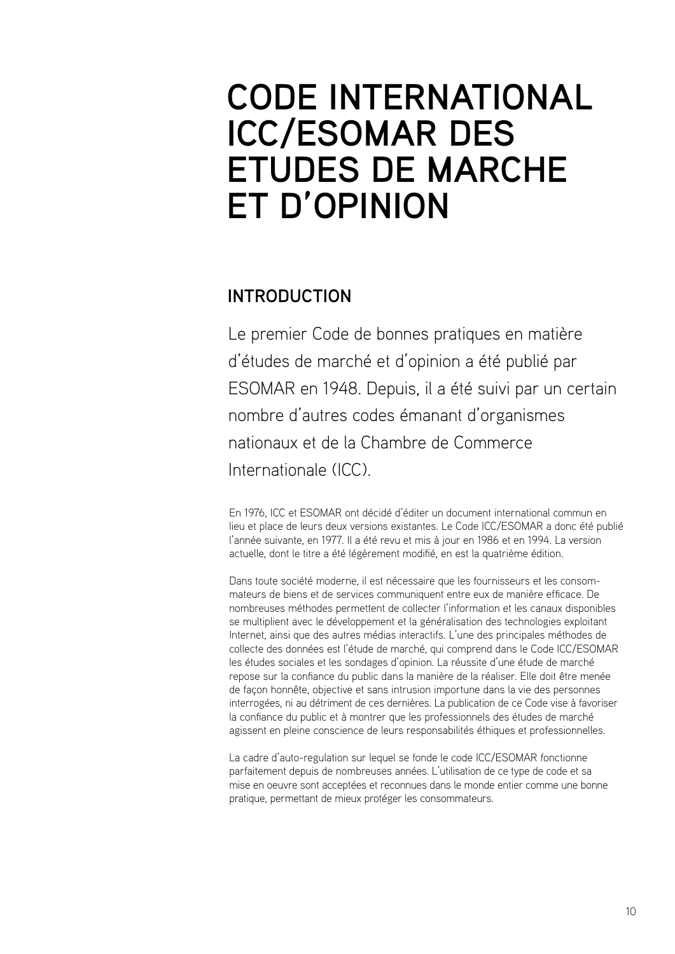## <span id="page-11-0"></span>**CODE INTERNATIONAL ICC/ESOMAR DES ETUDES DE MARCHE ET D'OPINION**

## **INTRODUCTION**

Le premier Code de bonnes pratiques en matière d'études de marché et d'opinion a été publié par ESOMAR en 1948. Depuis, il a été suivi par un certain nombre d'autres codes émanant d'organismes nationaux et de la Chambre de Commerce Internationale (ICC).

En 1976, ICC et ESOMAR ont décidé d'éditer un document international commun en lieu et place de leurs deux versions existantes. Le Code ICC/ESOMAR a donc été publié l'année suivante, en 1977. Il a été revu et mis à jour en 1986 et en 1994. La version actuelle, dont le titre a été légèrement modifié, en est la quatrième édition.

Dans toute société moderne, il est nécessaire que les fournisseurs et les consommateurs de biens et de services communiquent entre eux de manière efficace. De nombreuses méthodes permettent de collecter l'information et les canaux disponibles se multiplient avec le développement et la généralisation des technologies exploitant Internet, ainsi que des autres médias interactifs. L'une des principales méthodes de collecte des données est l'étude de marché, qui comprend dans le Code ICC/ESOMAR les études sociales et les sondages d'opinion. La réussite d'une étude de marché repose sur la confiance du public dans la manière de la réaliser. Elle doit être menée de façon honnête, objective et sans intrusion importune dans la vie des personnes interrogées, ni au détriment de ces dernières. La publication de ce Code vise à favoriser la confiance du public et à montrer que les professionnels des études de marché agissent en pleine conscience de leurs responsabilités éthiques et professionnelles.

La cadre d'auto-regulation sur lequel se fonde le code ICC/ESOMAR fonctionne parfaitement depuis de nombreuses années. L'utilisation de ce type de code et sa mise en oeuvre sont acceptées et reconnues dans le monde entier comme une bonne pratique, permettant de mieux protéger les consommateurs.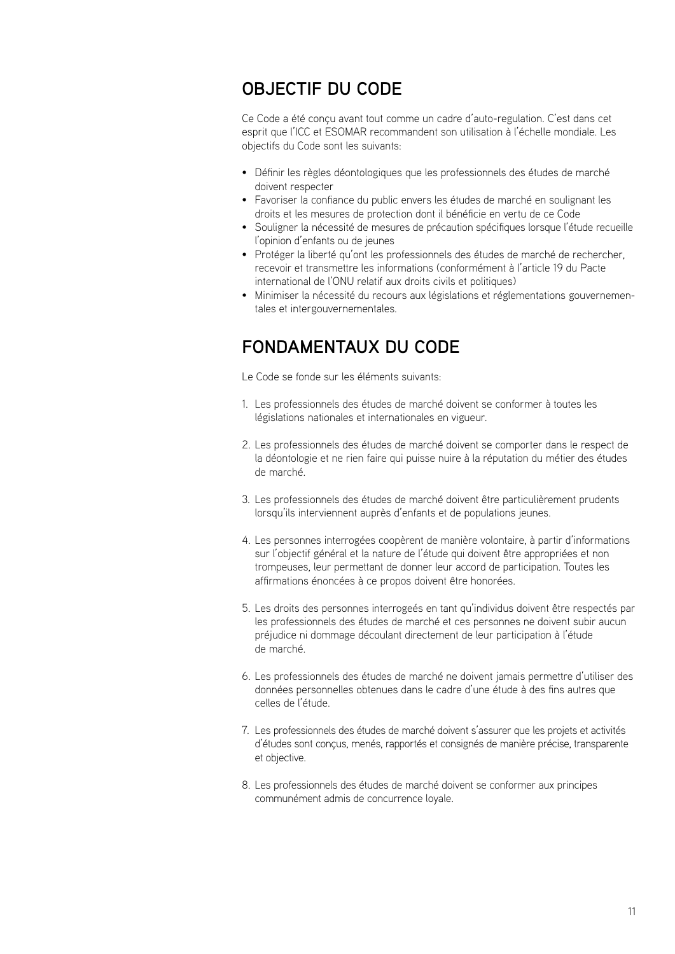## <span id="page-12-0"></span>**OBJECTIF DU CODE**

Ce Code a été conçu avant tout comme un cadre d'auto-regulation. C'est dans cet esprit que l'ICC et ESOMAR recommandent son utilisation à l'échelle mondiale. Les objectifs du Code sont les suivants:

- Définir les règles déontologiques que les professionnels des études de marché doivent respecter
- Favoriser la confiance du public envers les études de marché en soulignant les droits et les mesures de protection dont il bénéficie en vertu de ce Code
- Souligner la nécessité de mesures de précaution spécifiques lorsque l'étude recueille l'opinion d'enfants ou de jeunes
- Protéger la liberté qu'ont les professionnels des études de marché de rechercher, recevoir et transmettre les informations (conformément à l'article 19 du Pacte international de l'ONU relatif aux droits civils et politiques)
- Minimiser la nécessité du recours aux législations et réglementations gouvernementales et intergouvernementales.

## **FONDAMENTAUX DU CODE**

Le Code se fonde sur les éléments suivants:

- 1. Les professionnels des études de marché doivent se conformer à toutes les législations nationales et internationales en vigueur.
- 2. Les professionnels des études de marché doivent se comporter dans le respect de la déontologie et ne rien faire qui puisse nuire à la réputation du métier des études de marché.
- 3. Les professionnels des études de marché doivent être particulièrement prudents lorsqu'ils interviennent auprès d'enfants et de populations jeunes.
- 4. Les personnes interrogées coopèrent de manière volontaire, à partir d'informations sur l'objectif général et la nature de l'étude qui doivent être appropriées et non trompeuses, leur permettant de donner leur accord de participation. Toutes les affirmations énoncées à ce propos doivent être honorées.
- 5. Les droits des personnes interrogeés en tant qu'individus doivent être respectés par les professionnels des études de marché et ces personnes ne doivent subir aucun préjudice ni dommage découlant directement de leur participation à l'étude de marché.
- 6. Les professionnels des études de marché ne doivent jamais permettre d'utiliser des données personnelles obtenues dans le cadre d'une étude à des fins autres que celles de l'étude.
- Les professionnels des études de marché doivent s'assurer que les projets et activités 7. d'études sont conçus, menés, rapportés et consignés de manière précise, transparente et objective.
- 8. Les professionnels des études de marché doivent se conformer aux principes communément admis de concurrence loyale.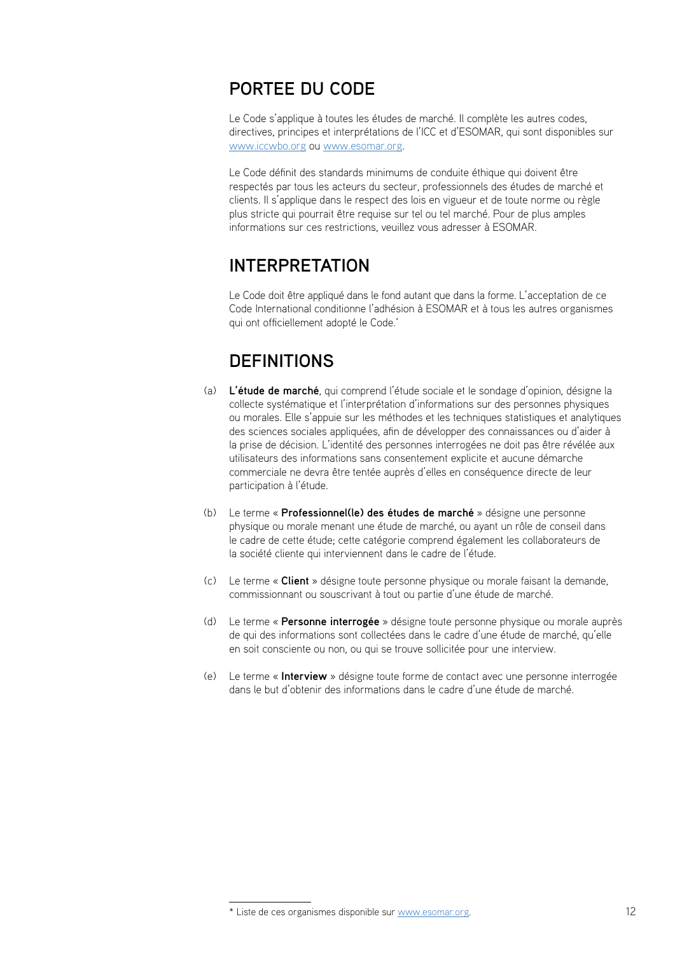## <span id="page-13-0"></span>**PORTEE DU CODE**

Le Code s'applique à toutes les études de marché. Il complète les autres codes, directives, principes et interprétations de l'ICC et d'ESOMAR, qui sont disponibles sur www.iccwbo.org ou www.esomar.org.

Le Code définit des standards minimums de conduite éthique qui doivent être respectés par tous les acteurs du secteur, professionnels des études de marché et clients. Il s'applique dans le respect des lois en vigueur et de toute norme ou règle plus stricte qui pourrait être requise sur tel ou tel marché. Pour de plus amples informations sur ces restrictions, veuillez vous adresser à ESOMAR.

## **INTERPRETATION**

Le Code doit être appliqué dans le fond autant que dans la forme. L'acceptation de ce Code International conditionne l'adhésion à ESOMAR et à tous les autres organismes qui ont officiellement adopté le Code.\*

## **DEFINITIONS**

- **L'étude de marché**, qui comprend l'étude sociale et le sondage d'opinion, désigne la (a) collecte systématique et l'interprétation d'informations sur des personnes physiques ou morales. Elle s'appuie sur les méthodes et les techniques statistiques et analytiques des sciences sociales appliquées, afin de développer des connaissances ou d'aider à la prise de décision. L'identité des personnes interrogées ne doit pas être révélée aux utilisateurs des informations sans consentement explicite et aucune démarche commerciale ne devra être tentée auprès d'elles en conséquence directe de leur participation à l'étude.
- Le terme « **Professionnel(le) des études de marché** » désigne une personne (b) physique ou morale menant une étude de marché, ou ayant un rôle de conseil dans le cadre de cette étude; cette catégorie comprend également les collaborateurs de la société cliente qui interviennent dans le cadre de l'étude.
- Le terme « **Client** » désigne toute personne physique ou morale faisant la demande, (c) commissionnant ou souscrivant à tout ou partie d'une étude de marché.
- Le terme « **Personne interrogée** » désigne toute personne physique ou morale auprès (d) de qui des informations sont collectées dans le cadre d'une étude de marché, qu'elle en soit consciente ou non, ou qui se trouve sollicitée pour une interview.
- Le terme « **Interview** » désigne toute forme de contact avec une personne interrogée (e)dans le but d'obtenir des informations dans le cadre d'une étude de marché.

<sup>\*</sup> Liste de ces organismes disponible sur www.esomar.org.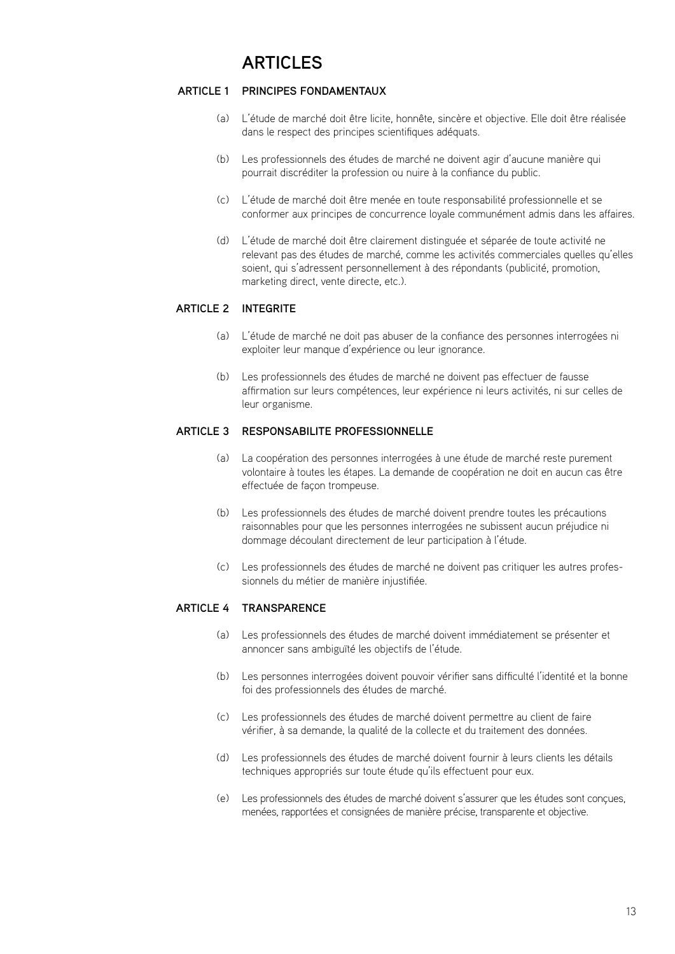#### <span id="page-14-0"></span>**Principes fondamentaux ARTICLE 1**

- L'étude de marché doit être licite, honnête, sincère et objective. Elle doit être réalisée dans le respect des principes scientifiques adéquats. (a)
- Les professionnels des études de marché ne doivent agir d'aucune manière qui (b) pourrait discréditer la profession ou nuire à la confiance du public.
- L'étude de marché doit être menée en toute responsabilité professionnelle et se (c) conformer aux principes de concurrence loyale communément admis dans les affaires.
- L'étude de marché doit être clairement distinguée et séparée de toute activité ne (d) relevant pas des études de marché, comme les activités commerciales quelles qu'elles soient, qui s'adressent personnellement à des répondants (publicité, promotion, marketing direct, vente directe, etc.).

## **ARTICLE 2 INTEGRITE**

- L'étude de marché ne doit pas abuser de la confiance des personnes interrogées ni (a) exploiter leur manque d'expérience ou leur ignorance.
- Les professionnels des études de marché ne doivent pas effectuer de fausse (b) affirmation sur leurs compétences, leur expérience ni leurs activités, ni sur celles de leur organisme.

### **ARTICLE 3 RESPONSABILITE P**

- La coopération des personnes interrogées à une étude de marché reste purement (a) volontaire à toutes les étapes. La demande de coopération ne doit en aucun cas être effectuée de façon trompeuse.
- Les professionnels des études de marché doivent prendre toutes les précautions (b) raisonnables pour que les personnes interrogées ne subissent aucun préjudice ni dommage découlant directement de leur participation à l'étude.
- Les professionnels des études de marché ne doivent pas critiquer les autres profes-(c) sionnels du métier de manière injustifiée.

### **ARTICLE 4 TR**

- Les professionnels des études de marché doivent immédiatement se présenter et (a) annoncer sans ambiguïté les objectifs de l'étude.
- Les personnes interrogées doivent pouvoir vérifier sans difficulté l'identité et la bonne (b) foi des professionnels des études de marché.
- Les professionnels des études de marché doivent permettre au client de faire (c) vérifier, à sa demande, la qualité de la collecte et du traitement des données.
- Les professionnels des études de marché doivent fournir à leurs clients les détails (d) techniques appropriés sur toute étude qu'ils effectuent pour eux.
- Les professionnels des études de marché doivent s'assurer que les études sont conçues, (e)menées, rapportées et consignées de manière précise, transparente et objective.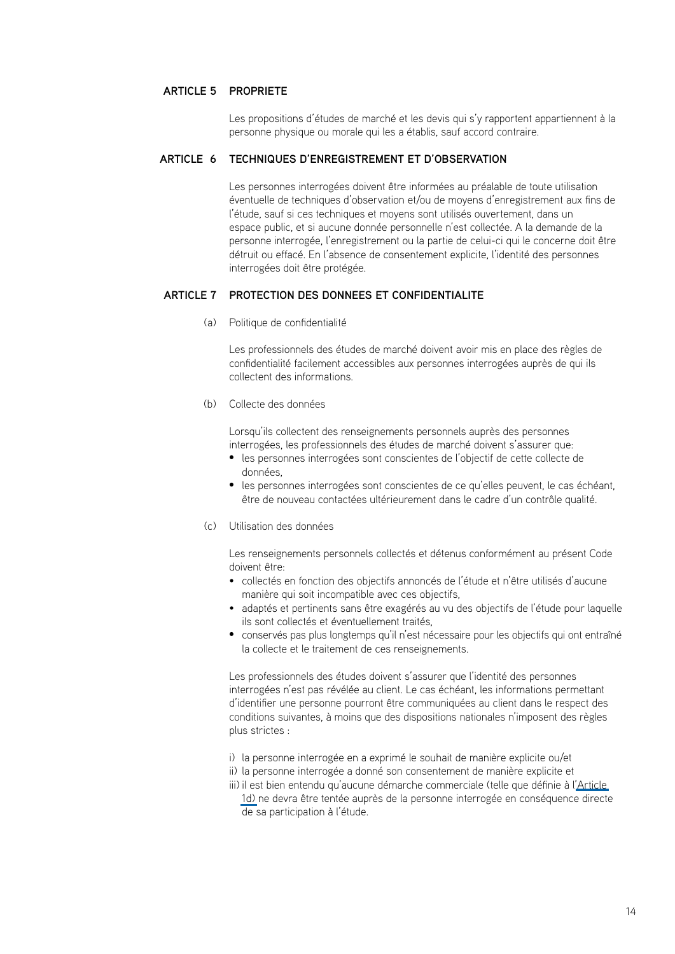### **PropriEtE ARTICLE 5**

Les propositions d'études de marché et les devis qui s'y rapportent appartiennent à la personne physique ou morale qui les a établis, sauf accord contraire.

#### **Techniques d'enregistrement et d'observation ARTICLE 6**

Les personnes interrogées doivent être informées au préalable de toute utilisation éventuelle de techniques d'observation et/ou de moyens d'enregistrement aux fins de l'étude, sauf si ces techniques et moyens sont utilisés ouvertement, dans un espace public, et si aucune donnée personnelle n'est collectée. A la demande de la personne interrogée, l'enregistrement ou la partie de celui-ci qui le concerne doit être détruit ou effacé. En l'absence de consentement explicite, l'identité des personnes interrogées doit être protégée.

### **Protection des donnEes et confidentialitE ARTICLE 7**

Politique de confidentialité (a)

Les professionnels des études de marché doivent avoir mis en place des règles de confidentialité facilement accessibles aux personnes interrogées auprès de qui ils collectent des informations.

(b) Collecte des données

Lorsqu'ils collectent des renseignements personnels auprès des personnes interrogées, les professionnels des études de marché doivent s'assurer que:

- • les personnes interrogées sont conscientes de l'objectif de cette collecte de données,
- • les personnes interrogées sont conscientes de ce qu'elles peuvent, le cas échéant, être de nouveau contactées ultérieurement dans le cadre d'un contrôle qualité.
- Utilisation des données (c)

Les renseignements personnels collectés et détenus conformément au présent Code doivent être:

- collectés en fonction des objectifs annoncés de l'étude et n'être utilisés d'aucune manière qui soit incompatible avec ces objectifs,
- adaptés et pertinents sans être exagérés au vu des objectifs de l'étude pour laquelle ils sont collectés et éventuellement traités,
- • conservés pas plus longtemps qu'il n'est nécessaire pour les objectifs qui ont entraîné la collecte et le traitement de ces renseignements.

Les professionnels des études doivent s'assurer que l'identité des personnes interrogées n'est pas révélée au client. Le cas échéant, les informations permettant d'identifier une personne pourront être communiquées au client dans le respect des conditions suivantes, à moins que des dispositions nationales n'imposent des règles plus strictes :

- i) la personne interrogée en a exprimé le souhait de manière explicite ou/et
- ii) la personne interrogée a donné son consentement de manière explicite et
- iii) il est bien entendu qu'aucune démarche commerciale (telle que définie à l'Article [1d\)](#page-14-0) ne devra être tentée auprès de la personne interrogée en conséquence directe de sa participation à l'étude.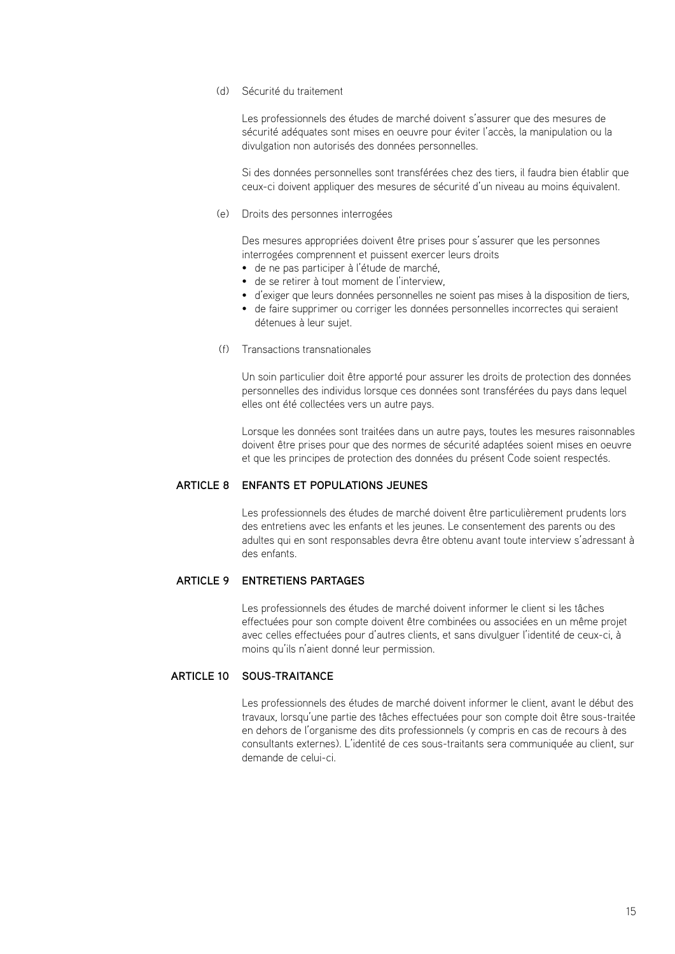#### Sécurité du traitement (d)

Les professionnels des études de marché doivent s'assurer que des mesures de sécurité adéquates sont mises en oeuvre pour éviter l'accès, la manipulation ou la divulgation non autorisés des données personnelles.

Si des données personnelles sont transférées chez des tiers, il faudra bien établir que ceux-ci doivent appliquer des mesures de sécurité d'un niveau au moins équivalent.

(e) Droits des personnes interrogées

Des mesures appropriées doivent être prises pour s'assurer que les personnes interrogées comprennent et puissent exercer leurs droits

- de ne pas participer à l'étude de marché,
- de se retirer à tout moment de l'interview,
- d'exiger que leurs données personnelles ne soient pas mises à la disposition de tiers,
- de faire supprimer ou corriger les données personnelles incorrectes qui seraient détenues à leur sujet.
- (f) Transactions transnationales

Un soin particulier doit être apporté pour assurer les droits de protection des données personnelles des individus lorsque ces données sont transférées du pays dans lequel elles ont été collectées vers un autre pays.

Lorsque les données sont traitées dans un autre pays, toutes les mesures raisonnables doivent être prises pour que des normes de sécurité adaptées soient mises en oeuvre et que les principes de protection des données du présent Code soient respectés.

#### **ENFANTS ET POPULATIONS JEUNES**

Les professionnels des études de marché doivent être particulièrement prudents lors des entretiens avec les enfants et les jeunes. Le consentement des parents ou des adultes qui en sont responsables devra être obtenu avant toute interview s'adressant à des enfants.

#### **Entretiens partagEs ARTICLE 9**

Les professionnels des études de marché doivent informer le client si les tâches effectuées pour son compte doivent être combinées ou associées en un même projet avec celles effectuées pour d'autres clients, et sans divulguer l'identité de ceux-ci, à moins qu'ils n'aient donné leur permission.

#### **ARTICLE 10 SOUS-T**

Les professionnels des études de marché doivent informer le client, avant le début des travaux, lorsqu'une partie des tâches effectuées pour son compte doit être sous-traitée en dehors de l'organisme des dits professionnels (y compris en cas de recours à des consultants externes). L'identité de ces sous-traitants sera communiquée au client, sur demande de celui-ci.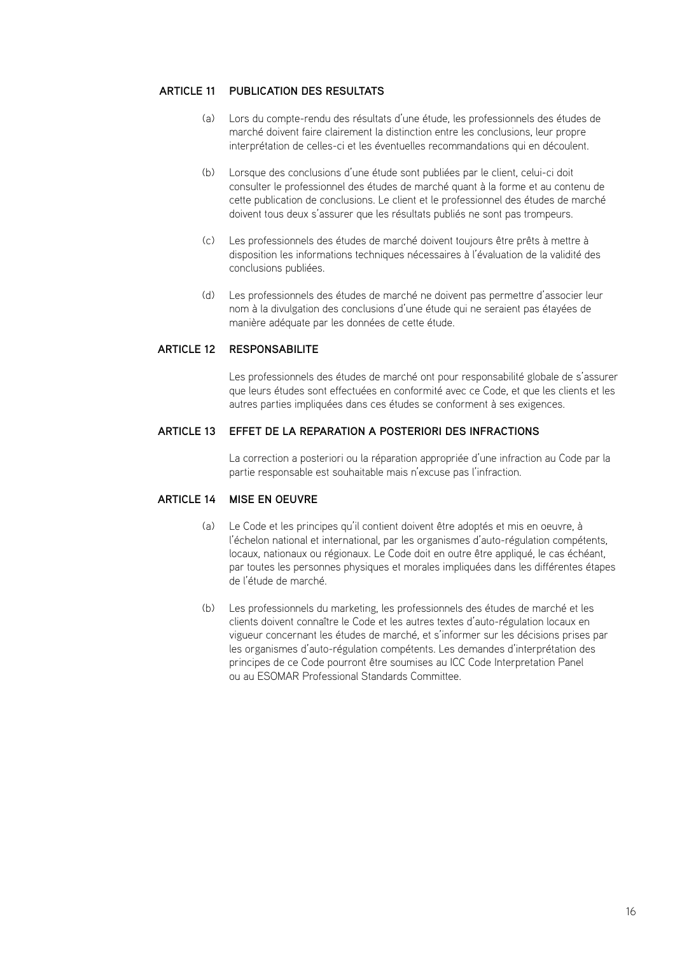## **ARTICLE 11 PUBLICATION DES RES**

- Lors du compte-rendu des résultats d'une étude, les professionnels des études de (a) marché doivent faire clairement la distinction entre les conclusions, leur propre interprétation de celles-ci et les éventuelles recommandations qui en découlent.
- Lorsque des conclusions d'une étude sont publiées par le client, celui-ci doit (b) consulter le professionnel des études de marché quant à la forme et au contenu de cette publication de conclusions. Le client et le professionnel des études de marché doivent tous deux s'assurer que les résultats publiés ne sont pas trompeurs.
- Les professionnels des études de marché doivent toujours être prêts à mettre à (c) disposition les informations techniques nécessaires à l'évaluation de la validité des conclusions publiées.
- Les professionnels des études de marché ne doivent pas permettre d'associer leur (d) nom à la divulgation des conclusions d'une étude qui ne seraient pas étayées de manière adéquate par les données de cette étude.

## **ResponsabilitE ARTICLE 12**

Les professionnels des études de marché ont pour responsabilité globale de s'assurer que leurs études sont effectuées en conformité avec ce Code, et que les clients et les autres parties impliquées dans ces études se conforment à ses exigences.

## **Effet de la rEparation a posteriori des infractions ARTICLE 13**

La correction a posteriori ou la réparation appropriée d'une infraction au Code par la partie responsable est souhaitable mais n'excuse pas l'infraction.

## **ARTICLE 14 MISE EN C**

- Le Code et les principes qu'il contient doivent être adoptés et mis en oeuvre, à (a) l'échelon national et international, par les organismes d'auto-régulation compétents, locaux, nationaux ou régionaux. Le Code doit en outre être appliqué, le cas échéant, par toutes les personnes physiques et morales impliquées dans les différentes étapes de l'étude de marché.
- Les professionnels du marketing, les professionnels des études de marché et les clients doivent connaître le Code et les autres textes d'auto-régulation locaux en vigueur concernant les études de marché, et s'informer sur les décisions prises par les organismes d'auto-régulation compétents. Les demandes d'interprétation des principes de ce Code pourront être soumises au ICC Code Interpretation Panel ou au ESOMAR Professional Standards Committee.  $(h)$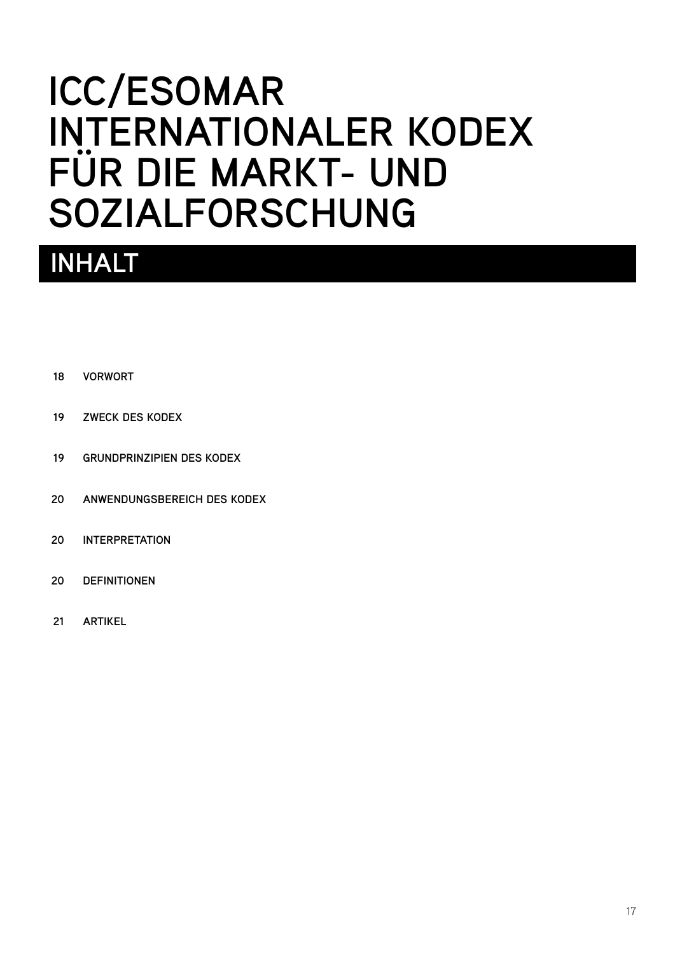# <span id="page-18-0"></span>**ICC/ESOMAR INTERNATIONALER KODEX FÜR DIE MARKT- UND SOZIALFORSCHUNG**

## **Inhalt**

- **[VORWORT](#page-19-0) 18**
- **[ZWECK DES KODEX](#page-20-0) 19**
- **[GRUNDPRINZIPIEN DES KODEX](#page-20-0) 19**
- **[ANWENDUNGSBEREICH DES KODEX](#page-21-0) 20**
- **[INTERPRETATION](#page-21-0) 20**
- **[DEFINITIONEN](#page-21-0) 20**
- **[ARTIKEL](#page-22-0) 21**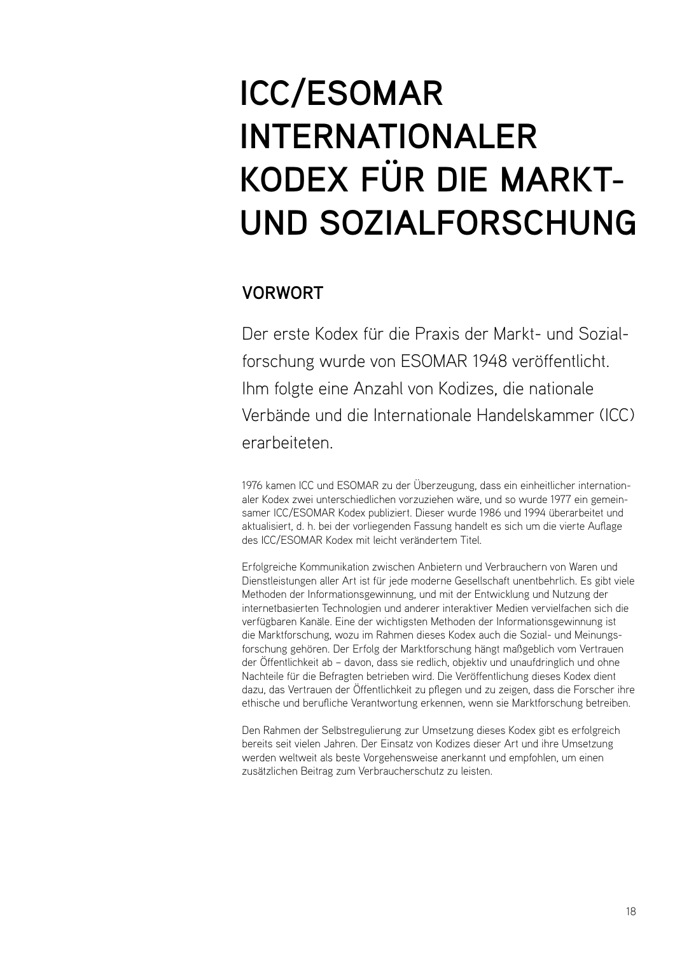# <span id="page-19-0"></span>**ICC/ESOMAR INTERNATIONALER KODEX FÜR DIE MARKT-UND SOZIALFORSCHUNG**

## **VORWORT**

Der erste Kodex für die Praxis der Markt- und Sozialforschung wurde von ESOMAR 1948 veröffentlicht. Ihm folgte eine Anzahl von Kodizes, die nationale Verbände und die Internationale Handelskammer (ICC) erarbeiteten.

1976 kamen ICC und ESOMAR zu der Überzeugung, dass ein einheitlicher internationaler Kodex zwei unterschiedlichen vorzuziehen wäre, und so wurde 1977 ein gemeinsamer ICC/ESOMAR Kodex publiziert. Dieser wurde 1986 und 1994 überarbeitet und aktualisiert, d. h. bei der vorliegenden Fassung handelt es sich um die vierte Auflage des ICC/ESOMAR Kodex mit leicht verändertem Titel.

Erfolgreiche Kommunikation zwischen Anbietern und Verbrauchern von Waren und Dienstleistungen aller Art ist für jede moderne Gesellschaft unentbehrlich. Es gibt viele Methoden der Informationsgewinnung, und mit der Entwicklung und Nutzung der internetbasierten Technologien und anderer interaktiver Medien vervielfachen sich die verfügbaren Kanäle. Eine der wichtigsten Methoden der Informationsgewinnung ist die Marktforschung, wozu im Rahmen dieses Kodex auch die Sozial- und Meinungsforschung gehören. Der Erfolg der Marktforschung hängt maßgeblich vom Vertrauen der Öffentlichkeit ab – davon, dass sie redlich, objektiv und unaufdringlich und ohne Nachteile für die Befragten betrieben wird. Die Veröffentlichung dieses Kodex dient dazu, das Vertrauen der Öffentlichkeit zu pflegen und zu zeigen, dass die Forscher ihre ethische und berufliche Verantwortung erkennen, wenn sie Marktforschung betreiben.

Den Rahmen der Selbstregulierung zur Umsetzung dieses Kodex gibt es erfolgreich bereits seit vielen Jahren. Der Einsatz von Kodizes dieser Art und ihre Umsetzung werden weltweit als beste Vorgehensweise anerkannt und empfohlen, um einen zusätzlichen Beitrag zum Verbraucherschutz zu leisten.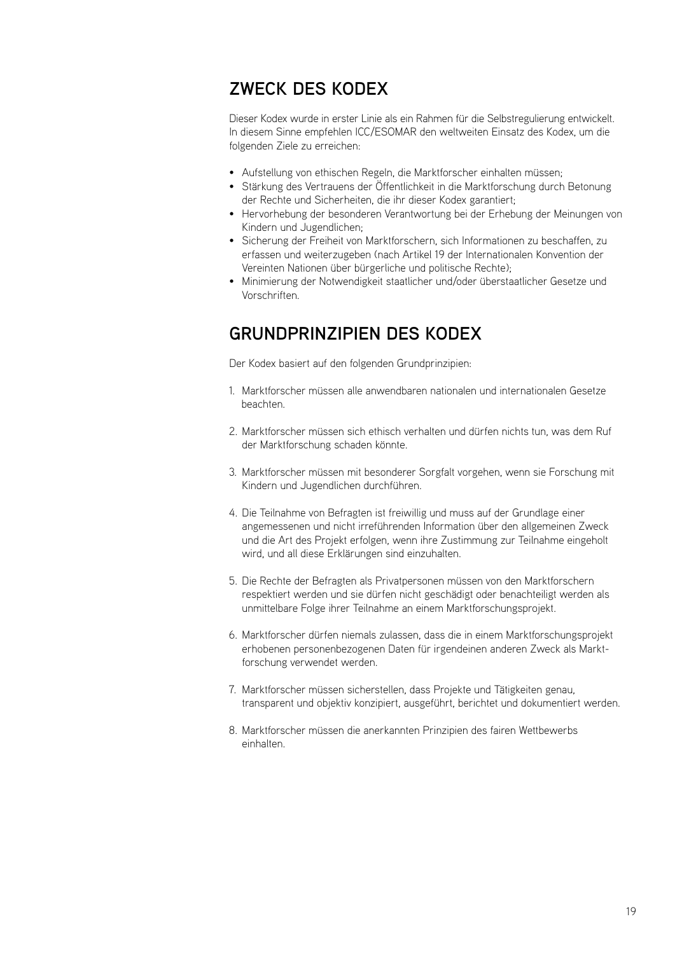## <span id="page-20-0"></span>**ZWECK DES KODEX**

Dieser Kodex wurde in erster Linie als ein Rahmen für die Selbstregulierung entwickelt. In diesem Sinne empfehlen ICC/ESOMAR den weltweiten Einsatz des Kodex, um die folgenden Ziele zu erreichen:

- Aufstellung von ethischen Regeln, die Marktforscher einhalten müssen;
- Stärkung des Vertrauens der Öffentlichkeit in die Marktforschung durch Betonung der Rechte und Sicherheiten, die ihr dieser Kodex garantiert;
- Hervorhebung der besonderen Verantwortung bei der Erhebung der Meinungen von Kindern und Jugendlichen;
- Sicherung der Freiheit von Marktforschern, sich Informationen zu beschaffen, zu erfassen und weiterzugeben (nach Artikel 19 der Internationalen Konvention der Vereinten Nationen über bürgerliche und politische Rechte);
- Minimierung der Notwendigkeit staatlicher und/oder überstaatlicher Gesetze und Vorschriften.

## **GRUNDPRINZIPIEN DES KODEX**

Der Kodex basiert auf den folgenden Grundprinzipien:

- Marktforscher müssen alle anwendbaren nationalen und internationalen Gesetze 1. beachten.
- Marktforscher müssen sich ethisch verhalten und dürfen nichts tun, was dem Ruf 2. der Marktforschung schaden könnte.
- Marktforscher müssen mit besonderer Sorgfalt vorgehen, wenn sie Forschung mit 3. Kindern und Jugendlichen durchführen.
- 4. Die Teilnahme von Befragten ist freiwillig und muss auf der Grundlage einer angemessenen und nicht irreführenden Information über den allgemeinen Zweck und die Art des Projekt erfolgen, wenn ihre Zustimmung zur Teilnahme eingeholt wird, und all diese Erklärungen sind einzuhalten.
- 5. Die Rechte der Befragten als Privatpersonen müssen von den Marktforschern respektiert werden und sie dürfen nicht geschädigt oder benachteiligt werden als unmittelbare Folge ihrer Teilnahme an einem Marktforschungsprojekt.
- 6. Marktforscher dürfen niemals zulassen, dass die in einem Marktforschungsprojekt erhobenen personenbezogenen Daten für irgendeinen anderen Zweck als Marktforschung verwendet werden.
- 7. Marktforscher müssen sicherstellen, dass Projekte und Tätigkeiten genau, transparent und objektiv konzipiert, ausgeführt, berichtet und dokumentiert werden.
- 8. Marktforscher müssen die anerkannten Prinzipien des fairen Wettbewerbs einhalten.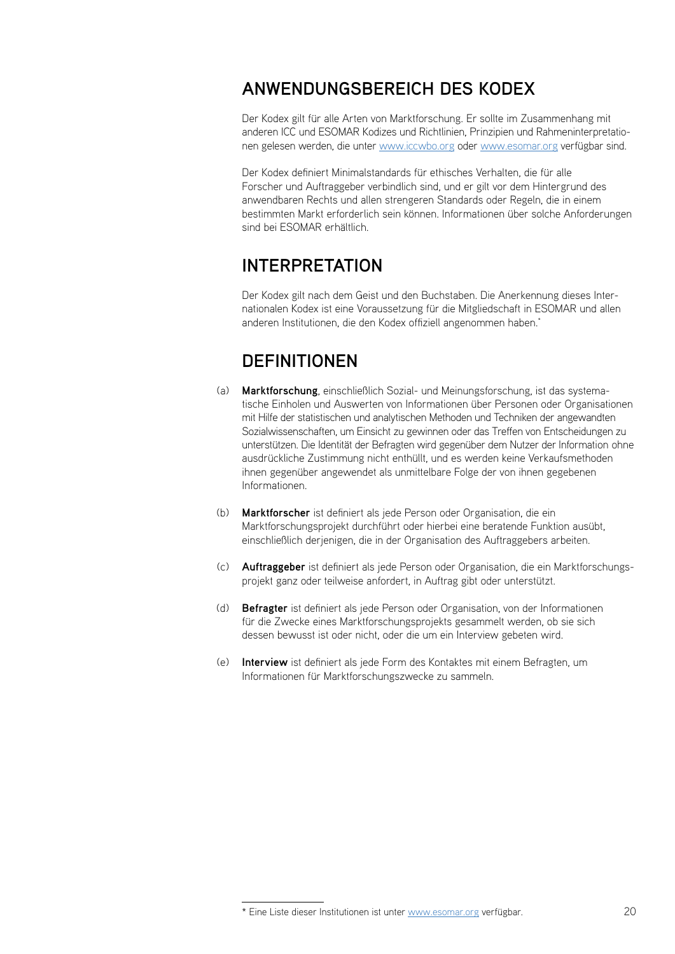## <span id="page-21-0"></span>**ANWENDUNGSBEREICH DES KODEX**

Der Kodex gilt für alle Arten von Marktforschung. Er sollte im Zusammenhang mit anderen ICC und ESOMAR Kodizes und Richtlinien, Prinzipien und Rahmeninterpretationen gelesen werden, die unter www.iccwbo.org oder www.esomar.org verfügbar sind.

Der Kodex definiert Minimalstandards für ethisches Verhalten, die für alle Forscher und Auftraggeber verbindlich sind, und er gilt vor dem Hintergrund des anwendbaren Rechts und allen strengeren Standards oder Regeln, die in einem bestimmten Markt erforderlich sein können. Informationen über solche Anforderungen sind bei ESOMAR erhältlich.

## **INTERPRETATION**

Der Kodex gilt nach dem Geist und den Buchstaben. Die Anerkennung dieses Internationalen Kodex ist eine Voraussetzung für die Mitgliedschaft in ESOMAR und allen anderen Institutionen, die den Kodex offiziell angenommen haben.\*

## **DEFINITIONEN**

- **Marktforschung**, einschließlich Sozial- und Meinungsforschung, ist das systema-(a) tische Einholen und Auswerten von Informationen über Personen oder Organisationen mit Hilfe der statistischen und analytischen Methoden und Techniken der angewandten Sozialwissenschaften, um Einsicht zu gewinnen oder das Treffen von Entscheidungen zu unterstützen. Die Identität der Befragten wird gegenüber dem Nutzer der Information ohne ausdrückliche Zustimmung nicht enthüllt, und es werden keine Verkaufsmethoden ihnen gegenüber angewendet als unmittelbare Folge der von ihnen gegebenen Informationen.
- **Marktforscher** ist definiert als jede Person oder Organisation, die ein Marktforschungsprojekt durchführt oder hierbei eine beratende Funktion ausübt, einschließlich derjenigen, die in der Organisation des Auftraggebers arbeiten.  $(h)$
- **Auftraggeber** ist definiert als jede Person oder Organisation, die ein Marktforschungs-(c) projekt ganz oder teilweise anfordert, in Auftrag gibt oder unterstützt.
- **Befragter** ist definiert als jede Person oder Organisation, von der Informationen (d) für die Zwecke eines Marktforschungsprojekts gesammelt werden, ob sie sich dessen bewusst ist oder nicht, oder die um ein Interview gebeten wird.
- **Interview** ist definiert als jede Form des Kontaktes mit einem Befragten, um Informationen für Marktforschungszwecke zu sammeln. (e)

<sup>\*</sup> Eine Liste dieser Institutionen ist unter www.esomar.org verfügbar.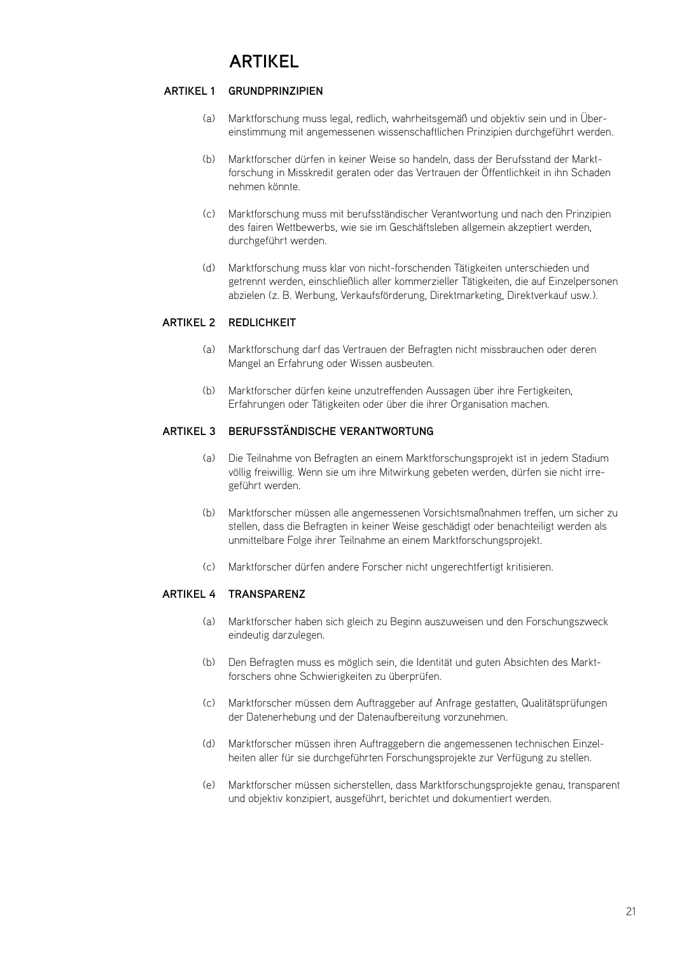## **ARTIKEL**

#### <span id="page-22-0"></span>**GRUNDPRINZIPIEN ARTIKEL 1**

- Marktforschung muss legal, redlich, wahrheitsgemäß und objektiv sein und in Übereinstimmung mit angemessenen wissenschaftlichen Prinzipien durchgeführt werden.  $(a)$
- Marktforscher dürfen in keiner Weise so handeln, dass der Berufsstand der Marktforschung in Misskredit geraten oder das Vertrauen der Öffentlichkeit in ihn Schaden nehmen könnte.  $(h)$
- Marktforschung muss mit berufsständischer Verantwortung und nach den Prinzipien (c) des fairen Wettbewerbs, wie sie im Geschäftsleben allgemein akzeptiert werden, durchgeführt werden.
- Marktforschung muss klar von nicht-forschenden Tätigkeiten unterschieden und getrennt werden, einschließlich aller kommerzieller Tätigkeiten, die auf Einzelpersonen abzielen (z. B. Werbung, Verkaufsförderung, Direktmarketing, Direktverkauf usw.). (d)

## **REDLICHKEIT ARTIKEL 2**

- Marktforschung darf das Vertrauen der Befragten nicht missbrauchen oder deren (a) Mangel an Erfahrung oder Wissen ausbeuten.
- Marktforscher dürfen keine unzutreffenden Aussagen über ihre Fertigkeiten, (b) Erfahrungen oder Tätigkeiten oder über die ihrer Organisation machen.

## **BERUFSSTÄNDISCHE VERANTWORTUNG ARTIKEL 3**

- Die Teilnahme von Befragten an einem Marktforschungsprojekt ist in jedem Stadium völlig freiwillig. Wenn sie um ihre Mitwirkung gebeten werden, dürfen sie nicht irregeführt werden.  $(a)$
- Marktforscher müssen alle angemessenen Vorsichtsmaßnahmen treffen, um sicher zu stellen, dass die Befragten in keiner Weise geschädigt oder benachteiligt werden als unmittelbare Folge ihrer Teilnahme an einem Marktforschungsprojekt. (b)
- Marktforscher dürfen andere Forscher nicht ungerechtfertigt kritisieren. (c)

## **ARTIKEL 4 TRA**

- Marktforscher haben sich gleich zu Beginn auszuweisen und den Forschungszweck (a) eindeutig darzulegen.
- Den Befragten muss es möglich sein, die Identität und guten Absichten des Marktforschers ohne Schwierigkeiten zu überprüfen.  $(h)$
- Marktforscher müssen dem Auftraggeber auf Anfrage gestatten, Qualitätsprüfungen der Datenerhebung und der Datenaufbereitung vorzunehmen.  $(\cap)$
- Marktforscher müssen ihren Auftraggebern die angemessenen technischen Einzelheiten aller für sie durchgeführten Forschungsprojekte zur Verfügung zu stellen. (d)
- Marktforscher müssen sicherstellen, dass Marktforschungsprojekte genau, transparent und objektiv konzipiert, ausgeführt, berichtet und dokumentiert werden.  $(a)$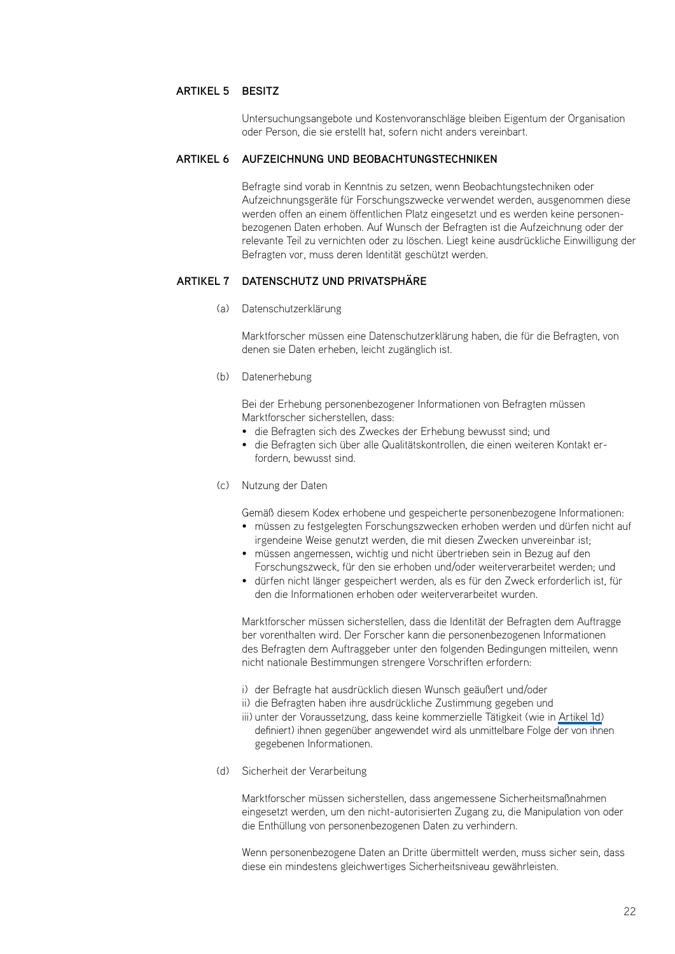### **ARTIKEL 5 BES**

Untersuchungsangebote und Kostenvoranschläge bleiben Eigentum der Organisation oder Person, die sie erstellt hat, sofern nicht anders vereinbart.

#### **ARTIKEL 6 AUFZEICHNUNG UND BEO**

Befragte sind vorab in Kenntnis zu setzen, wenn Beobachtungstechniken oder Aufzeichnungsgeräte für Forschungszwecke verwendet werden, ausgenommen diese werden offen an einem öffentlichen Platz eingesetzt und es werden keine personenbezogenen Daten erhoben. Auf Wunsch der Befragten ist die Aufzeichnung oder der relevante Teil zu vernichten oder zu löschen. Liegt keine ausdrückliche Einwilligung der Befragten vor, muss deren Identität geschützt werden.

#### **Datenschutz und Privatsphäre ARTIKEL 7**

Datenschutzerklärung (a)

Marktforscher müssen eine Datenschutzerklärung haben, die für die Befragten, von denen sie Daten erheben, leicht zugänglich ist.

#### (b) Datenerhebung

Bei der Erhebung personenbezogener Informationen von Befragten müssen Marktforscher sicherstellen, dass:

- die Befragten sich des Zweckes der Erhebung bewusst sind; und
- die Befragten sich über alle Qualitätskontrollen, die einen weiteren Kontakt erfordern, bewusst sind.
- Nutzung der Daten (c)

Gemäß diesem Kodex erhobene und gespeicherte personenbezogene Informationen:

- müssen zu festgelegten Forschungszwecken erhoben werden und dürfen nicht auf irgendeine Weise genutzt werden, die mit diesen Zwecken unvereinbar ist;
- müssen angemessen, wichtig und nicht übertrieben sein in Bezug auf den Forschungszweck, für den sie erhoben und/oder weiterverarbeitet werden; und
- dürfen nicht länger gespeichert werden, als es für den Zweck erforderlich ist, für den die Informationen erhoben oder weiterverarbeitet wurden.

Marktforscher müssen sicherstellen, dass die Identität der Befragten dem Auftragge ber vorenthalten wird. Der Forscher kann die personenbezogenen Informationen des Befragten dem Auftraggeber unter den folgenden Bedingungen mitteilen, wenn nicht nationale Bestimmungen strengere Vorschriften erfordern:

- i) der Befragte hat ausdrücklich diesen Wunsch geäußert und/oder
- ii) die Befragten haben ihre ausdrückliche Zustimmung gegeben und
- iii) unter der Voraussetzung, dass keine kommerzielle Tätigkeit (wie in [Artikel 1d\)](#page-22-0) definiert) ihnen gegenüber angewendet wird als unmittelbare Folge der von ihnen gegebenen Informationen.
- (d) Sicherheit der Verarbeitung

Marktforscher müssen sicherstellen, dass angemessene Sicherheitsmaßnahmen eingesetzt werden, um den nicht-autorisierten Zugang zu, die Manipulation von oder die Enthüllung von personenbezogenen Daten zu verhindern.

Wenn personenbezogene Daten an Dritte übermittelt werden, muss sicher sein, dass diese ein mindestens gleichwertiges Sicherheitsniveau gewährleisten.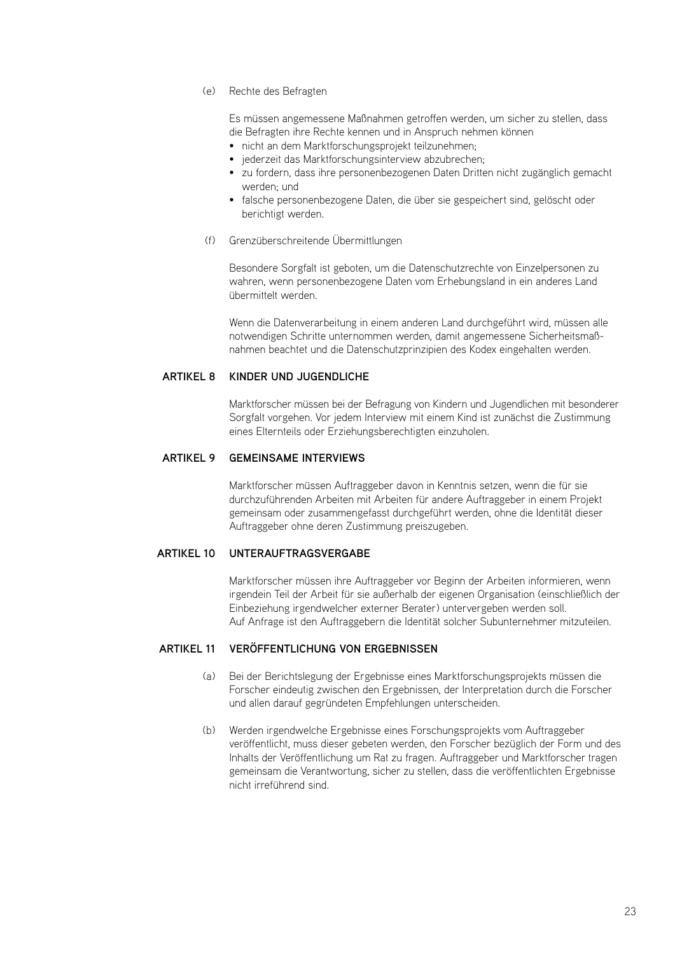Rechte des Befragten (e)

Es müssen angemessene Maßnahmen getroffen werden, um sicher zu stellen, dass die Befragten ihre Rechte kennen und in Anspruch nehmen können

- nicht an dem Marktforschungsprojekt teilzunehmen;
- jederzeit das Marktforschungsinterview abzubrechen:
- zu fordern, dass ihre personenbezogenen Daten Dritten nicht zugänglich gemacht werden; und
- falsche personenbezogene Daten, die über sie gespeichert sind, gelöscht oder berichtigt werden.
- Grenzüberschreitende Übermittlungen (f)

Besondere Sorgfalt ist geboten, um die Datenschutzrechte von Einzelpersonen zu wahren, wenn personenbezogene Daten vom Erhebungsland in ein anderes Land übermittelt werden.

Wenn die Datenverarbeitung in einem anderen Land durchgeführt wird, müssen alle notwendigen Schritte unternommen werden, damit angemessene Sicherheitsmaßnahmen beachtet und die Datenschutzprinzipien des Kodex eingehalten werden.

## **ARTIKEL 8 KINDER UND JUGE**

Marktforscher müssen bei der Befragung von Kindern und Jugendlichen mit besonderer Sorgfalt vorgehen. Vor jedem Interview mit einem Kind ist zunächst die Zustimmung eines Elternteils oder Erziehungsberechtigten einzuholen.

#### **Gemeinsame Interviews ARTIKEL 9**

Marktforscher müssen Auftraggeber davon in Kenntnis setzen, wenn die für sie durchzuführenden Arbeiten mit Arbeiten für andere Auftraggeber in einem Projekt gemeinsam oder zusammengefasst durchgeführt werden, ohne die Identität dieser Auftraggeber ohne deren Zustimmung preiszugeben.

#### **Unterauftragsvergabe ARTIKEL 10**

Marktforscher müssen ihre Auftraggeber vor Beginn der Arbeiten informieren, wenn irgendein Teil der Arbeit für sie außerhalb der eigenen Organisation (einschließlich der Einbeziehung irgendwelcher externer Berater) untervergeben werden soll. Auf Anfrage ist den Auftraggebern die Identität solcher Subunternehmer mitzuteilen.

## **Veröffentlichung von Ergebnissen ARTIKEL 11**

- Bei der Berichtslegung der Ergebnisse eines Marktforschungsprojekts müssen die Forscher eindeutig zwischen den Ergebnissen, der Interpretation durch die Forscher und allen darauf gegründeten Empfehlungen unterscheiden.  $(a)$
- Werden irgendwelche Ergebnisse eines Forschungsprojekts vom Auftraggeber veröffentlicht, muss dieser gebeten werden, den Forscher bezüglich der Form und des Inhalts der Veröffentlichung um Rat zu fragen. Auftraggeber und Marktforscher tragen gemeinsam die Verantwortung, sicher zu stellen, dass die veröffentlichten Ergebnisse nicht irreführend sind. (b)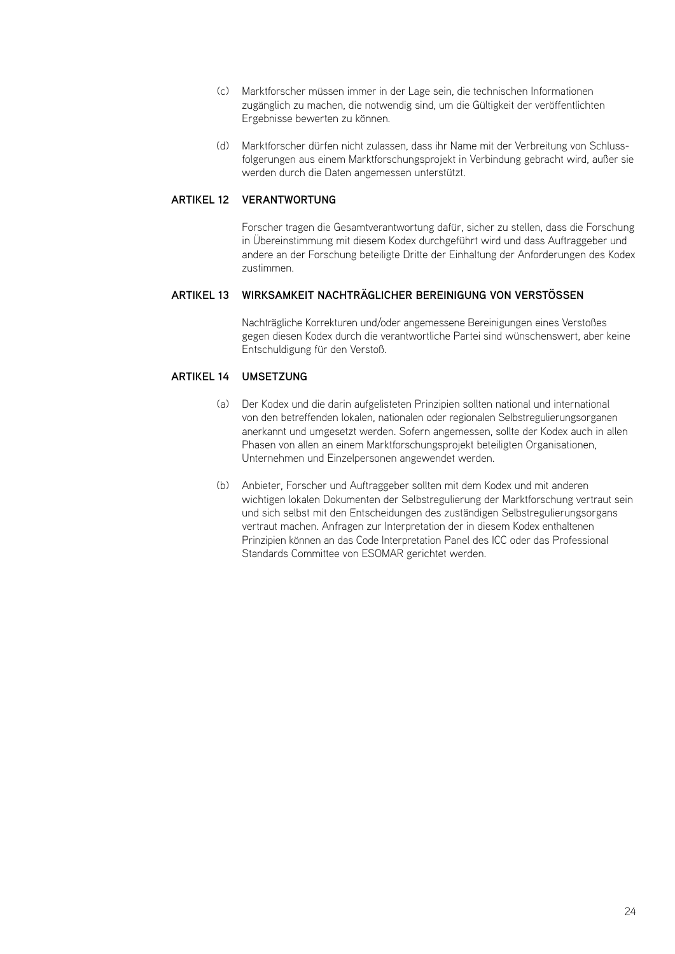- Marktforscher müssen immer in der Lage sein, die technischen Informationen (c) zugänglich zu machen, die notwendig sind, um die Gültigkeit der veröffentlichten Ergebnisse bewerten zu können.
- Marktforscher dürfen nicht zulassen, dass ihr Name mit der Verbreitung von Schlussfolgerungen aus einem Marktforschungsprojekt in Verbindung gebracht wird, außer sie werden durch die Daten angemessen unterstützt. (d)

## **ARTIKEL 12 VERANTWO**

Forscher tragen die Gesamtverantwortung dafür, sicher zu stellen, dass die Forschung in Übereinstimmung mit diesem Kodex durchgeführt wird und dass Auftraggeber und andere an der Forschung beteiligte Dritte der Einhaltung der Anforderungen des Kodex zustimmen.

## **Wirksamkeit nachträglicher Bereinigung von VerstöSSen ARTIKEL 13**

Nachträgliche Korrekturen und/oder angemessene Bereinigungen eines Verstoßes gegen diesen Kodex durch die verantwortliche Partei sind wünschenswert, aber keine Entschuldigung für den Verstoß.

## **ARTIKEL 14 UMS**

- Der Kodex und die darin aufgelisteten Prinzipien sollten national und international (a) von den betreffenden lokalen, nationalen oder regionalen Selbstregulierungsorganen anerkannt und umgesetzt werden. Sofern angemessen, sollte der Kodex auch in allen Phasen von allen an einem Marktforschungsprojekt beteiligten Organisationen, Unternehmen und Einzelpersonen angewendet werden.
- Anbieter, Forscher und Auftraggeber sollten mit dem Kodex und mit anderen (b)wichtigen lokalen Dokumenten der Selbstregulierung der Marktforschung vertraut sein und sich selbst mit den Entscheidungen des zuständigen Selbstregulierungsorgans vertraut machen. Anfragen zur Interpretation der in diesem Kodex enthaltenen Prinzipien können an das Code Interpretation Panel des ICC oder das Professional Standards Committee von ESOMAR gerichtet werden.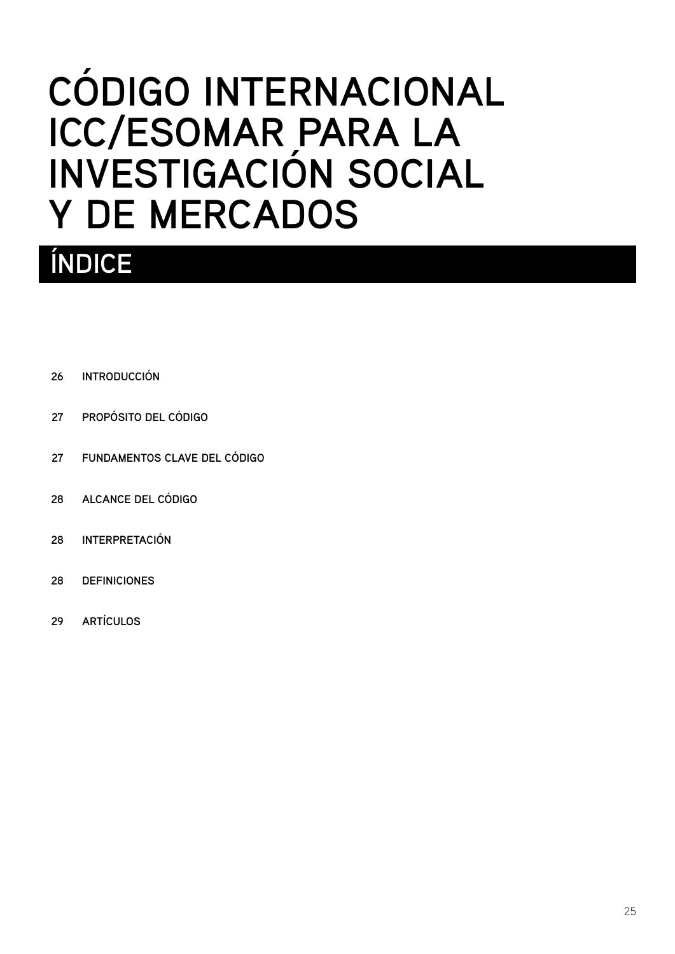# <span id="page-26-0"></span>**CÓDIGO INTERNACIONAL ICC/ESOMAR PARA LA INVESTIGACIÓN SOCIAL Y DE MERCADOS**

## **ÍNDICE**

- **[INTRODUCCIÓN](#page-27-0) 26**
- **[PROPÓSITO DEL CÓDIGO](#page-28-0) 27**
- **[FUNDAMENTOS CLAVE DEL CÓDIGO](#page-28-0) 27**
- **[ALCANCE DEL CÓDIGO](#page-29-0) 28**
- **[INTERPRETACIÓN](#page-29-0) 28**
- **[DEFINICIONES](#page-29-0) 28**
- **[ARTÍCULOS](#page-30-0) 29**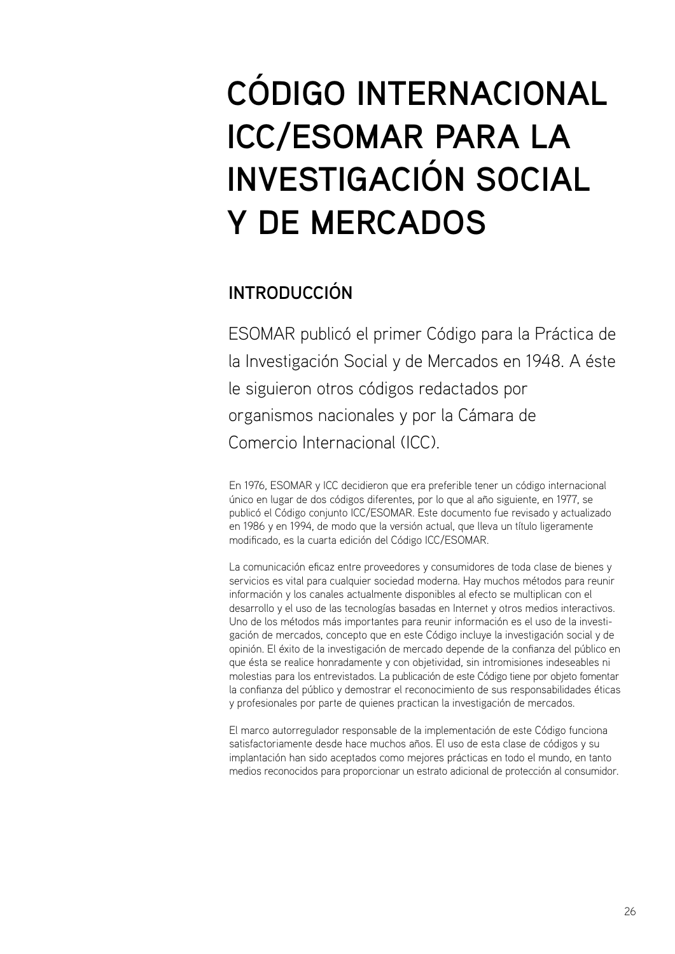# <span id="page-27-0"></span>**CÓDIGO INTERNACIONAL ICC/ESOMAR PARA LA INVESTIGACIÓN SOCIAL Y DE MERCADOS**

## **INTRODUCCIÓN**

ESOMAR publicó el primer Código para la Práctica de la Investigación Social y de Mercados en 1948. A éste le siguieron otros códigos redactados por organismos nacionales y por la Cámara de Comercio Internacional (ICC).

En 1976, ESOMAR y ICC decidieron que era preferible tener un código internacional único en lugar de dos códigos diferentes, por lo que al año siguiente, en 1977, se publicó el Código conjunto ICC/ESOMAR. Este documento fue revisado y actualizado en 1986 y en 1994, de modo que la versión actual, que lleva un título ligeramente modificado, es la cuarta edición del Código ICC/ESOMAR.

La comunicación eficaz entre proveedores y consumidores de toda clase de bienes y servicios es vital para cualquier sociedad moderna. Hay muchos métodos para reunir información y los canales actualmente disponibles al efecto se multiplican con el desarrollo y el uso de las tecnologías basadas en Internet y otros medios interactivos. Uno de los métodos más importantes para reunir información es el uso de la investigación de mercados, concepto que en este Código incluye la investigación social y de opinión. El éxito de la investigación de mercado depende de la confianza del público en que ésta se realice honradamente y con objetividad, sin intromisiones indeseables ni molestias para los entrevistados. La publicación de este Código tiene por objeto fomentar la confianza del público y demostrar el reconocimiento de sus responsabilidades éticas y profesionales por parte de quienes practican la investigación de mercados.

El marco autorregulador responsable de la implementación de este Código funciona satisfactoriamente desde hace muchos años. El uso de esta clase de códigos y su implantación han sido aceptados como mejores prácticas en todo el mundo, en tanto medios reconocidos para proporcionar un estrato adicional de protección al consumidor.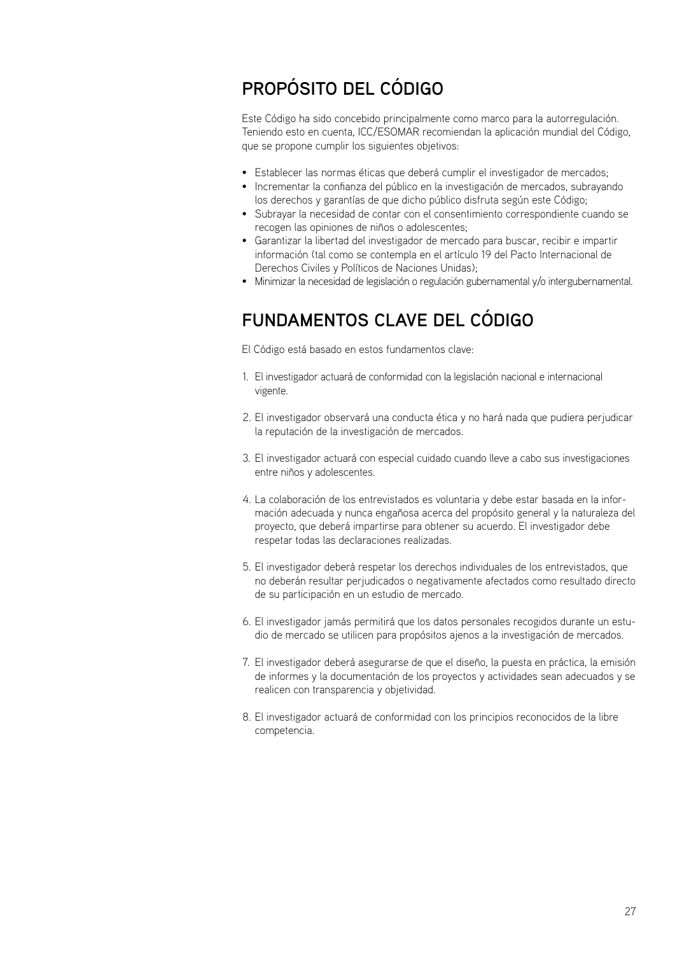## <span id="page-28-0"></span>**PROPÓSITO DEL CÓDIGO**

Este Código ha sido concebido principalmente como marco para la autorregulación. Teniendo esto en cuenta, ICC/ESOMAR recomiendan la aplicación mundial del Código, que se propone cumplir los siguientes objetivos:

- Establecer las normas éticas que deberá cumplir el investigador de mercados;
- Incrementar la confianza del público en la investigación de mercados, subrayando los derechos y garantías de que dicho público disfruta según este Código;
- Subrayar la necesidad de contar con el consentimiento correspondiente cuando se recogen las opiniones de niños o adolescentes;
- Garantizar la libertad del investigador de mercado para buscar, recibir e impartir información (tal como se contempla en el artículo 19 del Pacto Internacional de Derechos Civiles y Políticos de Naciones Unidas);
- Minimizar la necesidad de legislación o regulación gubernamental y/o intergubernamental.

## **FUNDAMENTOS CLAVE DEL CÓDIGO**

El Código está basado en estos fundamentos clave:

- El investigador actuará de conformidad con la legislación nacional e internacional 1. vigente.
- El investigador observará una conducta ética y no hará nada que pudiera perjudicar 2. la reputación de la investigación de mercados.
- El investigador actuará con especial cuidado cuando lleve a cabo sus investigaciones 3. entre niños y adolescentes.
- La colaboración de los entrevistados es voluntaria y debe estar basada en la infor-4. mación adecuada y nunca engañosa acerca del propósito general y la naturaleza del proyecto, que deberá impartirse para obtener su acuerdo. El investigador debe respetar todas las declaraciones realizadas.
- El investigador deberá respetar los derechos individuales de los entrevistados, que 5. no deberán resultar perjudicados o negativamente afectados como resultado directo de su participación en un estudio de mercado.
- El investigador jamás permitirá que los datos personales recogidos durante un estu-6. dio de mercado se utilicen para propósitos ajenos a la investigación de mercados.
- El investigador deberá asegurarse de que el diseño, la puesta en práctica, la emisión 7. de informes y la documentación de los proyectos y actividades sean adecuados y se realicen con transparencia y objetividad.
- El investigador actuará de conformidad con los principios reconocidos de la libre 8.competencia.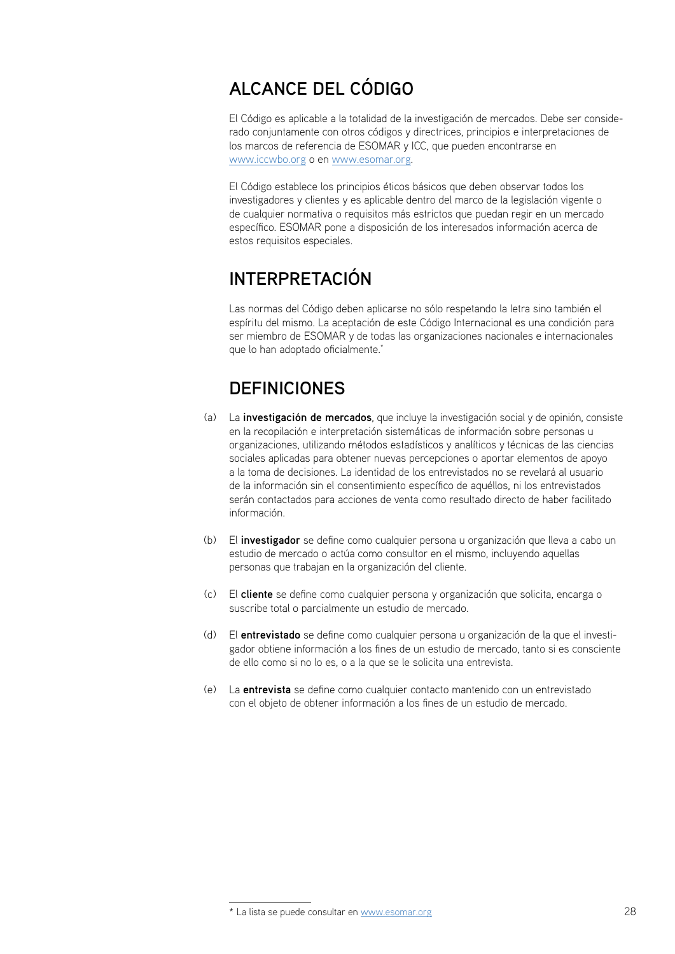## <span id="page-29-0"></span>**ALCANCE DEL CÓDIGO**

El Código es aplicable a la totalidad de la investigación de mercados. Debe ser considerado conjuntamente con otros códigos y directrices, principios e interpretaciones de los marcos de referencia de ESOMAR y ICC, que pueden encontrarse en www.iccwbo.org o en www.esomar.org.

El Código establece los principios éticos básicos que deben observar todos los investigadores y clientes y es aplicable dentro del marco de la legislación vigente o de cualquier normativa o requisitos más estrictos que puedan regir en un mercado específico. ESOMAR pone a disposición de los interesados información acerca de estos requisitos especiales.

## **INTERPRETACIÓN**

Las normas del Código deben aplicarse no sólo respetando la letra sino también el espíritu del mismo. La aceptación de este Código Internacional es una condición para ser miembro de ESOMAR y de todas las organizaciones nacionales e internacionales que lo han adoptado oficialmente.<sup>\*</sup>

## **DEFINICIONES**

- La **investigación de mercados**, que incluye la investigación social y de opinión, consiste (a) en la recopilación e interpretación sistemáticas de información sobre personas u organizaciones, utilizando métodos estadísticos y analíticos y técnicas de las ciencias sociales aplicadas para obtener nuevas percepciones o aportar elementos de apoyo a la toma de decisiones. La identidad de los entrevistados no se revelará al usuario de la información sin el consentimiento específico de aquéllos, ni los entrevistados serán contactados para acciones de venta como resultado directo de haber facilitado información.
- El **investigador** se define como cualquier persona u organización que lleva a cabo un (b) estudio de mercado o actúa como consultor en el mismo, incluyendo aquellas personas que trabajan en la organización del cliente.
- El **cliente** se define como cualquier persona y organización que solicita, encarga o (c) suscribe total o parcialmente un estudio de mercado.
- El **entrevistado** se define como cualquier persona u organización de la que el investi-(d) gador obtiene información a los fines de un estudio de mercado, tanto si es consciente de ello como si no lo es, o a la que se le solicita una entrevista.
- La **entrevista** se define como cualquier contacto mantenido con un entrevistado con el objeto de obtener información a los fines de un estudio de mercado.  $(\rho)$

<sup>\*</sup> La lista se puede consultar en www.esomar.org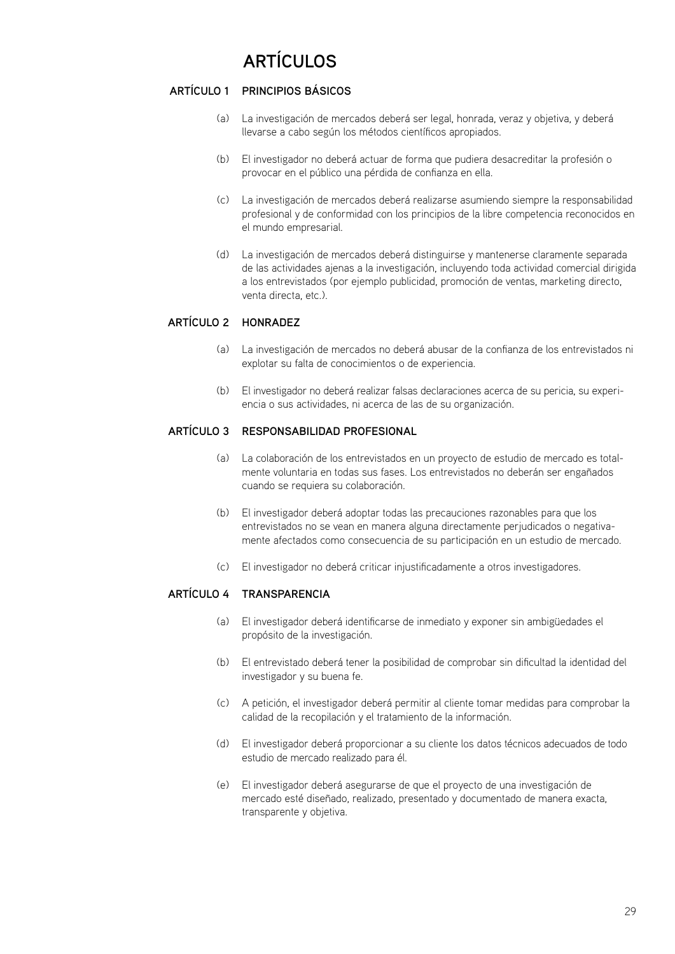## **ARTÍCULOS**

## <span id="page-30-0"></span>**Principios básicos Artículo 1**

- La investigación de mercados deberá ser legal, honrada, veraz y objetiva, y deberá (a) llevarse a cabo según los métodos científicos apropiados.
- El investigador no deberá actuar de forma que pudiera desacreditar la profesión o (b) provocar en el público una pérdida de confianza en ella.
- La investigación de mercados deberá realizarse asumiendo siempre la responsabilidad (c) profesional y de conformidad con los principios de la libre competencia reconocidos en el mundo empresarial.
- La investigación de mercados deberá distinguirse y mantenerse claramente separada de las actividades ajenas a la investigación, incluyendo toda actividad comercial dirigida a los entrevistados (por ejemplo publicidad, promoción de ventas, marketing directo, venta directa, etc.). (d)

## **ARTÍCULO 2 HON**

- La investigación de mercados no deberá abusar de la confianza de los entrevistados ni (a) explotar su falta de conocimientos o de experiencia.
- El investigador no deberá realizar falsas declaraciones acerca de su pericia, su experi-(b) encia o sus actividades, ni acerca de las de su organización.

## **Responsabilidad profesional Artículo 3**

- La colaboración de los entrevistados en un proyecto de estudio de mercado es total-(a) mente voluntaria en todas sus fases. Los entrevistados no deberán ser engañados cuando se requiera su colaboración.
- El investigador deberá adoptar todas las precauciones razonables para que los entrevistados no se vean en manera alguna directamente perjudicados o negativamente afectados como consecuencia de su participación en un estudio de mercado. (b)
- El investigador no deberá criticar injustificadamente a otros investigadores. (c)

## **ARTÍCULO 4 TR**

- El investigador deberá identificarse de inmediato y exponer sin ambigüedades el (a) propósito de la investigación.
- El entrevistado deberá tener la posibilidad de comprobar sin dificultad la identidad del (b) investigador y su buena fe.
- A petición, el investigador deberá permitir al cliente tomar medidas para comprobar la (c) calidad de la recopilación y el tratamiento de la información.
- El investigador deberá proporcionar a su cliente los datos técnicos adecuados de todo (d) estudio de mercado realizado para él.
- El investigador deberá asegurarse de que el proyecto de una investigación de (e)mercado esté diseñado, realizado, presentado y documentado de manera exacta, transparente y objetiva.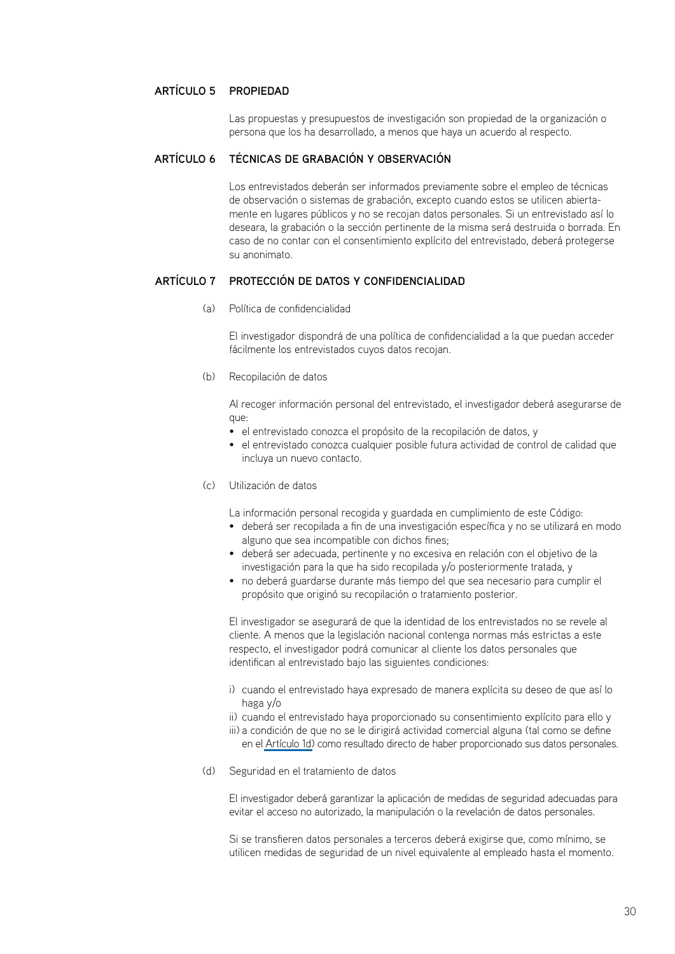## **ARTÍCULO 5 PR**

Las propuestas y presupuestos de investigación son propiedad de la organización o persona que los ha desarrollado, a menos que haya un acuerdo al respecto.

#### **Técnicas de grabación y observación Artículo 6**

Los entrevistados deberán ser informados previamente sobre el empleo de técnicas de observación o sistemas de grabación, excepto cuando estos se utilicen abiertamente en lugares públicos y no se recojan datos personales. Si un entrevistado así lo deseara, la grabación o la sección pertinente de la misma será destruida o borrada. En caso de no contar con el consentimiento explícito del entrevistado, deberá protegerse su anonimato.

#### **Protección de datos y confidencialidad Artículo 7**

Política de confidencialidad (a)

El investigador dispondrá de una política de confidencialidad a la que puedan acceder fácilmente los entrevistados cuyos datos recojan.

(b) Recopilación de datos

Al recoger información personal del entrevistado, el investigador deberá asegurarse de que:

- el entrevistado conozca el propósito de la recopilación de datos, y
- el entrevistado conozca cualquier posible futura actividad de control de calidad que incluya un nuevo contacto.
- Utilización de datos (c)

La información personal recogida y guardada en cumplimiento de este Código:

- deberá ser recopilada a fin de una investigación específica y no se utilizará en modo alguno que sea incompatible con dichos fines;
- deberá ser adecuada, pertinente y no excesiva en relación con el objetivo de la investigación para la que ha sido recopilada y/o posteriormente tratada, y
- no deberá guardarse durante más tiempo del que sea necesario para cumplir el propósito que originó su recopilación o tratamiento posterior.

El investigador se asegurará de que la identidad de los entrevistados no se revele al cliente. A menos que la legislación nacional contenga normas más estrictas a este respecto, el investigador podrá comunicar al cliente los datos personales que identifican al entrevistado bajo las siguientes condiciones:

- i) cuando el entrevistado haya expresado de manera explícita su deseo de que así lo haga y/o
- ii) cuando el entrevistado haya proporcionado su consentimiento explícito para ello y
- iii) a condición de que no se le dirigirá actividad comercial alguna (tal como se define en el [Artículo 1d\)](#page-30-0) como resultado directo de haber proporcionado sus datos personales.
- (d) Seguridad en el tratamiento de datos

El investigador deberá garantizar la aplicación de medidas de seguridad adecuadas para evitar el acceso no autorizado, la manipulación o la revelación de datos personales.

Si se transfieren datos personales a terceros deberá exigirse que, como mínimo, se utilicen medidas de seguridad de un nivel equivalente al empleado hasta el momento.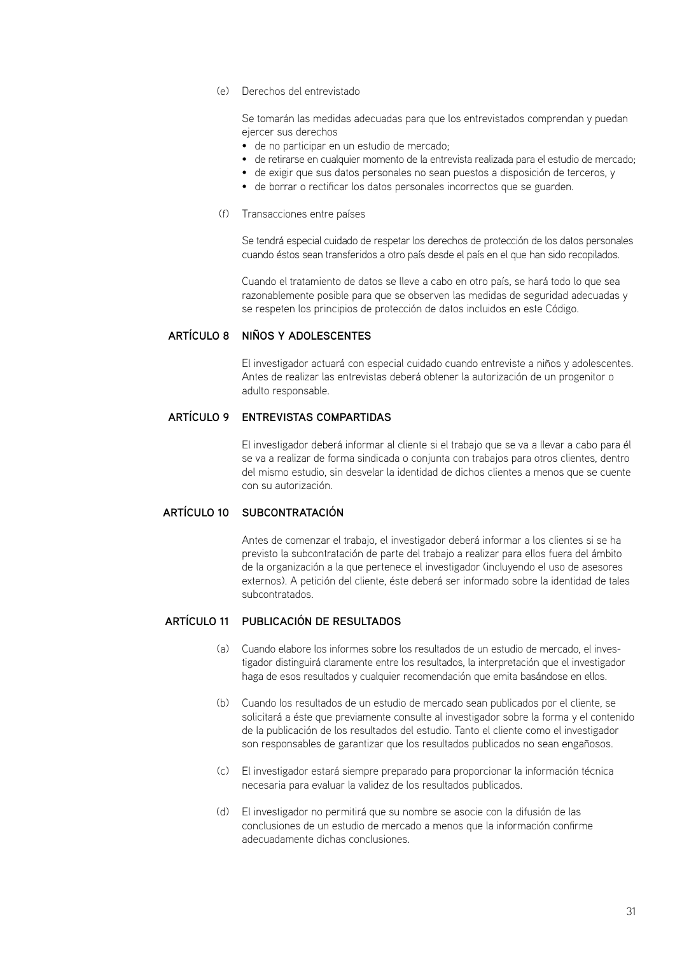Derechos del entrevistado (e)

Se tomarán las medidas adecuadas para que los entrevistados comprendan y puedan ejercer sus derechos

- de no participar en un estudio de mercado;
- de retirarse en cualquier momento de la entrevista realizada para el estudio de mercado;
- de exigir que sus datos personales no sean puestos a disposición de terceros, y
- de borrar o rectificar los datos personales incorrectos que se guarden.
- (f) Transacciones entre países

Se tendrá especial cuidado de respetar los derechos de protección de los datos personales cuando éstos sean transferidos a otro país desde el país en el que han sido recopilados.

Cuando el tratamiento de datos se lleve a cabo en otro país, se hará todo lo que sea razonablemente posible para que se observen las medidas de seguridad adecuadas y se respeten los principios de protección de datos incluidos en este Código.

## **Niños y adolescentes Artículo 8**

El investigador actuará con especial cuidado cuando entreviste a niños y adolescentes. Antes de realizar las entrevistas deberá obtener la autorización de un progenitor o adulto responsable.

### **Entrevistas compartidas Artículo 9**

El investigador deberá informar al cliente si el trabajo que se va a llevar a cabo para él se va a realizar de forma sindicada o conjunta con trabajos para otros clientes, dentro del mismo estudio, sin desvelar la identidad de dichos clientes a menos que se cuente con su autorización.

### **ARTÍCULO 10 SU**

Antes de comenzar el trabajo, el investigador deberá informar a los clientes si se ha previsto la subcontratación de parte del trabajo a realizar para ellos fuera del ámbito de la organización a la que pertenece el investigador (incluyendo el uso de asesores externos). A petición del cliente, éste deberá ser informado sobre la identidad de tales subcontratados.

### **Publicación de resultados Artículo 11**

- Cuando elabore los informes sobre los resultados de un estudio de mercado, el inves-(a) tigador distinguirá claramente entre los resultados, la interpretación que el investigador haga de esos resultados y cualquier recomendación que emita basándose en ellos.
- Cuando los resultados de un estudio de mercado sean publicados por el cliente, se (b) solicitará a éste que previamente consulte al investigador sobre la forma y el contenido de la publicación de los resultados del estudio. Tanto el cliente como el investigador son responsables de garantizar que los resultados publicados no sean engañosos.
- El investigador estará siempre preparado para proporcionar la información técnica (c) necesaria para evaluar la validez de los resultados publicados.
- El investigador no permitirá que su nombre se asocie con la difusión de las (d)conclusiones de un estudio de mercado a menos que la información confirme adecuadamente dichas conclusiones.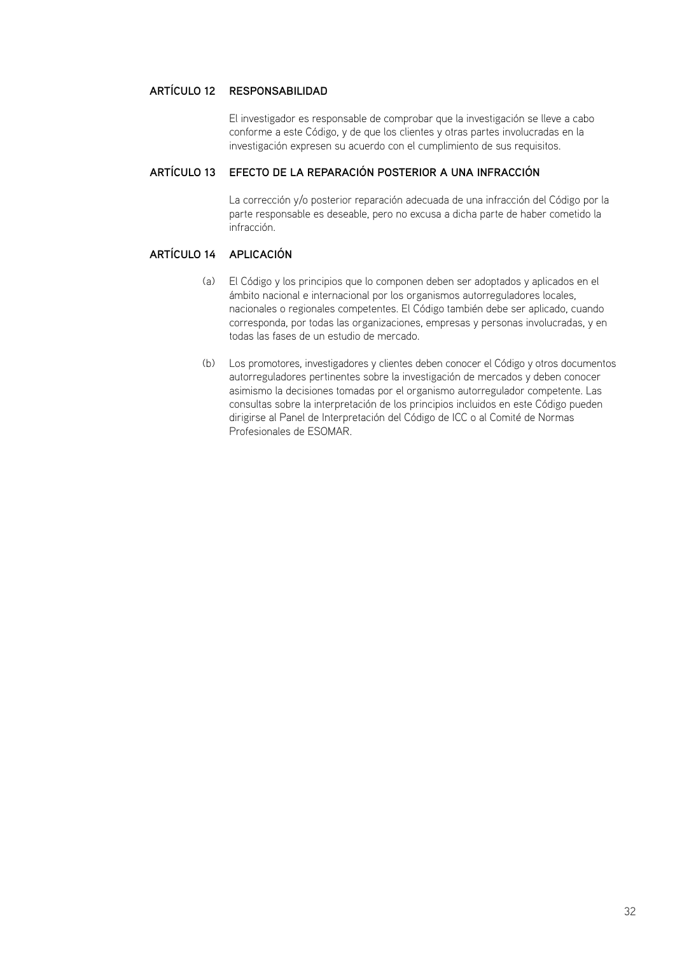## **ARTÍCULO 12 RE**

El investigador es responsable de comprobar que la investigación se lleve a cabo conforme a este Código, y de que los clientes y otras partes involucradas en la investigación expresen su acuerdo con el cumplimiento de sus requisitos.

## **Efecto de la reparación posterior a una infracción Artículo 13**

La corrección y/o posterior reparación adecuada de una infracción del Código por la parte responsable es deseable, pero no excusa a dicha parte de haber cometido la infracción.

## **ARTÍCULO 14 AP**

- El Código y los principios que lo componen deben ser adoptados y aplicados en el (a) ámbito nacional e internacional por los organismos autorreguladores locales, nacionales o regionales competentes. El Código también debe ser aplicado, cuando corresponda, por todas las organizaciones, empresas y personas involucradas, y en todas las fases de un estudio de mercado.
- Los promotores, investigadores y clientes deben conocer el Código y otros documentos (b)autorreguladores pertinentes sobre la investigación de mercados y deben conocer asimismo la decisiones tomadas por el organismo autorregulador competente. Las consultas sobre la interpretación de los principios incluidos en este Código pueden dirigirse al Panel de Interpretación del Código de ICC o al Comité de Normas Profesionales de ESOMAR.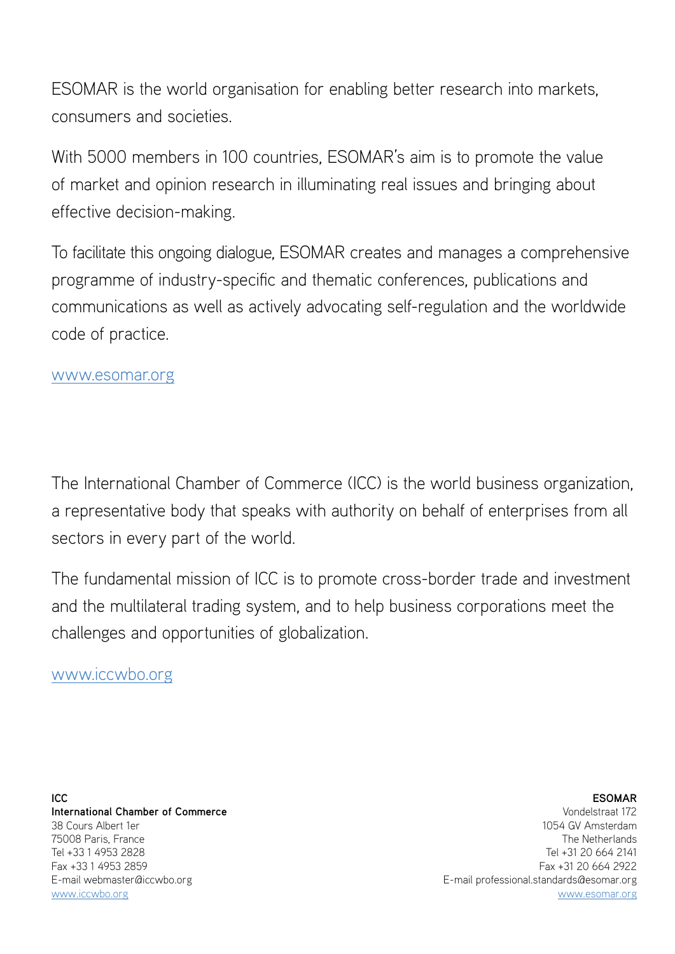ESOMAR is the world organisation for enabling better research into markets, consumers and societies.

With 5000 members in 100 countries, ESOMAR's aim is to promote the value of market and opinion research in illuminating real issues and bringing about effective decision-making.

To facilitate this ongoing dialogue, ESOMAR creates and manages a comprehensive programme of industry-specific and thematic conferences, publications and communications as well as actively advocating self-regulation and the worldwide code of practice.

## www.esomar.org

The International Chamber of Commerce (ICC) is the world business organization, a representative body that speaks with authority on behalf of enterprises from all sectors in every part of the world.

The fundamental mission of ICC is to promote cross-border trade and investment and the multilateral trading system, and to help business corporations meet the challenges and opportunities of globalization.

## www.iccwbo.org

**ICC International Chamber of Commerce** 38 Cours Albert 1er 75008 Paris, France Tel +33 1 4953 2828 Fax +33 1 4953 2859 E-mail webmaster@iccwbo.org www.iccwbo.org

## **ESOMAR**

Vondelstraat 172 1054 GV Amsterdam The Netherlands Tel +31 20 664 2141 Fax +31 20 664 2922 E-mail professional.standards@esomar.org www.esomar.org